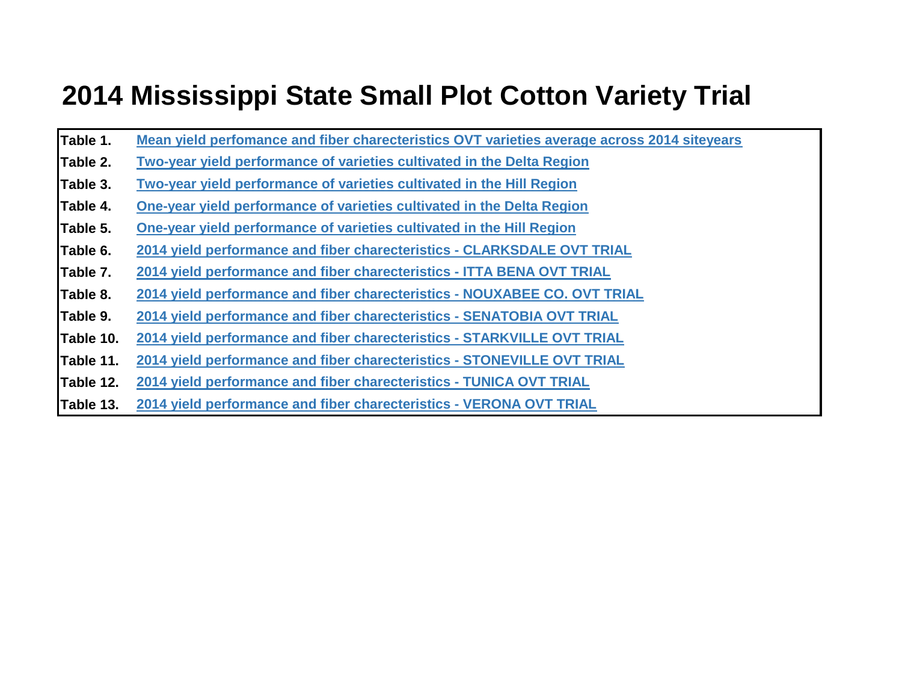## **2014 Mississippi State Small Plot Cotton Variety Trial**

- **Table 1. Mean yield perfomance and fiber charecteristics OVT varieties average across 2014 siteyears**
- **Table 2. Two-year yield performance of varieties cultivated in the Delta Region**
- **Table 3. Two-year yield performance of varieties cultivated in the Hill Region**
- **Table 4. One-year yield performance of varieties cultivated in the Delta Region**
- **Table 5. One-year yield performance of varieties cultivated in the Hill Region**
- **Table 6. 2014 yield performance and fiber charecteristics - CLARKSDALE OVT TRIAL**
- **Table 7. 2014 yield performance and fiber charecteristics - ITTA BENA OVT TRIAL**
- **Table 8. 2014 yield performance and fiber charecteristics - NOUXABEE CO. OVT TRIAL**
- **Table 9. 2014 yield performance and fiber charecteristics - SENATOBIA OVT TRIAL**
- **Table 10. 2014 yield performance and fiber charecteristics - STARKVILLE OVT TRIAL**
- **Table 11. 2014 yield performance and fiber charecteristics - STONEVILLE OVT TRIAL**
- **Table 12. 2014 yield performance and fiber charecteristics - TUNICA OVT TRIAL**
- **Table 13. 2014 yield performance and fiber charecteristics VERONA OVT TRIAL**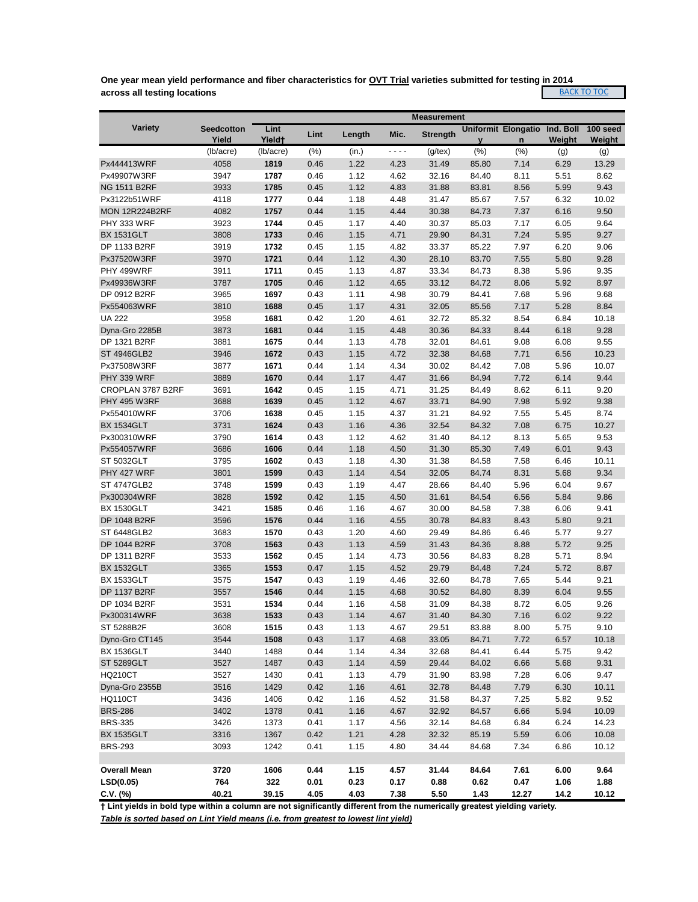**One year mean yield performance and fiber characteristics for OVT Trial varieties submitted for testing in 2014 across all testing locations BACK TO TOC** 

|                       | <b>Measurement</b>         |                            |      |        |         |                 |                      |                               |        |                    |
|-----------------------|----------------------------|----------------------------|------|--------|---------|-----------------|----------------------|-------------------------------|--------|--------------------|
| Variety               | <b>Seedcotton</b><br>Yield | Lint<br>Yield <sup>+</sup> | Lint | Length | Mic.    | <b>Strength</b> |                      | Uniformit Elongatio Ind. Boll | Weight | 100 seed<br>Weight |
|                       | (lb/acre)                  | (lb/acre)                  | (% ) | (in.)  | - - - - | $(g$ /tex $)$   | $\mathbf{V}$<br>(% ) | $\mathsf{n}$<br>(% )          | (g)    | (g)                |
| Px444413WRF           | 4058                       | 1819                       | 0.46 | 1.22   | 4.23    | 31.49           | 85.80                | 7.14                          | 6.29   | 13.29              |
| Px49907W3RF           | 3947                       | 1787                       | 0.46 | 1.12   | 4.62    | 32.16           | 84.40                | 8.11                          | 5.51   | 8.62               |
| <b>NG 1511 B2RF</b>   | 3933                       | 1785                       | 0.45 | 1.12   | 4.83    | 31.88           | 83.81                | 8.56                          | 5.99   | 9.43               |
| Px3122b51WRF          | 4118                       | 1777                       | 0.44 | 1.18   | 4.48    | 31.47           | 85.67                | 7.57                          | 6.32   | 10.02              |
| <b>MON 12R224B2RF</b> | 4082                       | 1757                       | 0.44 | 1.15   | 4.44    | 30.38           | 84.73                | 7.37                          | 6.16   | 9.50               |
| PHY 333 WRF           | 3923                       | 1744                       | 0.45 | 1.17   | 4.40    | 30.37           | 85.03                | 7.17                          | 6.05   | 9.64               |
| <b>BX 1531GLT</b>     | 3808                       | 1733                       | 0.46 | 1.15   | 4.71    | 29.90           | 84.31                | 7.24                          | 5.95   | 9.27               |
| DP 1133 B2RF          | 3919                       | 1732                       | 0.45 | 1.15   | 4.82    | 33.37           | 85.22                | 7.97                          | 6.20   | 9.06               |
| Px37520W3RF           | 3970                       | 1721                       | 0.44 | 1.12   | 4.30    | 28.10           | 83.70                | 7.55                          | 5.80   | 9.28               |
| PHY 499WRF            | 3911                       | 1711                       | 0.45 | 1.13   | 4.87    | 33.34           | 84.73                | 8.38                          | 5.96   | 9.35               |
| Px49936W3RF           | 3787                       | 1705                       | 0.46 | 1.12   | 4.65    | 33.12           | 84.72                | 8.06                          | 5.92   | 8.97               |
| DP 0912 B2RF          | 3965                       | 1697                       | 0.43 | 1.11   | 4.98    | 30.79           | 84.41                | 7.68                          | 5.96   | 9.68               |
| Px554063WRF           | 3810                       | 1688                       | 0.45 | 1.17   | 4.31    | 32.05           | 85.56                | 7.17                          | 5.28   | 8.84               |
| <b>UA 222</b>         | 3958                       | 1681                       | 0.42 | 1.20   | 4.61    | 32.72           | 85.32                | 8.54                          | 6.84   | 10.18              |
| Dyna-Gro 2285B        | 3873                       | 1681                       | 0.44 | 1.15   | 4.48    | 30.36           | 84.33                | 8.44                          | 6.18   | 9.28               |
| DP 1321 B2RF          | 3881                       | 1675                       | 0.44 | 1.13   | 4.78    | 32.01           | 84.61                | 9.08                          | 6.08   | 9.55               |
| <b>ST 4946GLB2</b>    | 3946                       | 1672                       | 0.43 | 1.15   | 4.72    | 32.38           | 84.68                | 7.71                          | 6.56   | 10.23              |
| Px37508W3RF           | 3877                       | 1671                       | 0.44 | 1.14   | 4.34    | 30.02           | 84.42                | 7.08                          | 5.96   | 10.07              |
| PHY 339 WRF           | 3889                       | 1670                       | 0.44 | 1.17   | 4.47    | 31.66           | 84.94                | 7.72                          | 6.14   | 9.44               |
| CROPLAN 3787 B2RF     | 3691                       | 1642                       | 0.45 | 1.15   | 4.71    | 31.25           | 84.49                | 8.62                          | 6.11   | 9.20               |
| <b>PHY 495 W3RF</b>   | 3688                       | 1639                       | 0.45 | 1.12   | 4.67    | 33.71           | 84.90                | 7.98                          | 5.92   | 9.38               |
| Px554010WRF           | 3706                       | 1638                       | 0.45 | 1.15   | 4.37    | 31.21           | 84.92                | 7.55                          | 5.45   | 8.74               |
| <b>BX 1534GLT</b>     | 3731                       | 1624                       | 0.43 | 1.16   | 4.36    | 32.54           | 84.32                | 7.08                          | 6.75   | 10.27              |
| Px300310WRF           | 3790                       | 1614                       | 0.43 | 1.12   | 4.62    | 31.40           | 84.12                | 8.13                          | 5.65   | 9.53               |
| Px554057WRF           | 3686                       | 1606                       | 0.44 | 1.18   | 4.50    | 31.30           | 85.30                | 7.49                          | 6.01   | 9.43               |
| ST 5032GLT            | 3795                       | 1602                       | 0.43 | 1.18   | 4.30    | 31.38           | 84.58                | 7.58                          | 6.46   | 10.11              |
| PHY 427 WRF           | 3801                       | 1599                       | 0.43 | 1.14   | 4.54    | 32.05           | 84.74                | 8.31                          | 5.68   | 9.34               |
| <b>ST 4747GLB2</b>    | 3748                       | 1599                       | 0.43 | 1.19   | 4.47    | 28.66           | 84.40                | 5.96                          | 6.04   | 9.67               |
| Px300304WRF           | 3828                       | 1592                       | 0.42 | 1.15   | 4.50    | 31.61           | 84.54                | 6.56                          | 5.84   | 9.86               |
| <b>BX 1530GLT</b>     | 3421                       | 1585                       | 0.46 | 1.16   | 4.67    | 30.00           | 84.58                | 7.38                          | 6.06   | 9.41               |
| DP 1048 B2RF          | 3596                       | 1576                       | 0.44 | 1.16   | 4.55    | 30.78           | 84.83                | 8.43                          | 5.80   | 9.21               |
| ST 6448GLB2           | 3683                       | 1570                       | 0.43 | 1.20   | 4.60    | 29.49           | 84.86                | 6.46                          | 5.77   | 9.27               |
| DP 1044 B2RF          | 3708                       | 1563                       | 0.43 | 1.13   | 4.59    | 31.43           | 84.36                | 8.88                          | 5.72   | 9.25               |
| DP 1311 B2RF          | 3533                       | 1562                       | 0.45 | 1.14   | 4.73    | 30.56           | 84.83                | 8.28                          | 5.71   | 8.94               |
| <b>BX 1532GLT</b>     | 3365                       | 1553                       | 0.47 | 1.15   | 4.52    | 29.79           | 84.48                | 7.24                          | 5.72   | 8.87               |
| <b>BX 1533GLT</b>     | 3575                       | 1547                       | 0.43 | 1.19   | 4.46    | 32.60           | 84.78                | 7.65                          | 5.44   | 9.21               |
| <b>DP 1137 B2RF</b>   | 3557                       | 1546                       | 0.44 | 1.15   | 4.68    | 30.52           | 84.80                | 8.39                          | 6.04   | 9.55               |
| DP 1034 B2RF          | 3531                       | 1534                       | 0.44 | 1.16   | 4.58    | 31.09           | 84.38                | 8.72                          | 6.05   | 9.26               |
| Px300314WRF           | 3638                       | 1533                       | 0.43 | 1.14   | 4.67    | 31.40           | 84.30                | 7.16                          | 6.02   | 9.22               |
| ST 5288B2F            | 3608                       | 1515                       | 0.43 | 1.13   | 4.67    | 29.51           | 83.88                | 8.00                          | 5.75   | 9.10               |
| Dyno-Gro CT145        | 3544                       | 1508                       | 0.43 | 1.17   | 4.68    | 33.05           | 84.71                | 7.72                          | 6.57   | 10.18              |
| <b>BX 1536GLT</b>     | 3440                       | 1488                       | 0.44 | 1.14   | 4.34    | 32.68           | 84.41                | 6.44                          | 5.75   | 9.42               |
| <b>ST 5289GLT</b>     | 3527                       | 1487                       | 0.43 | 1.14   | 4.59    | 29.44           | 84.02                | 6.66                          | 5.68   | 9.31               |
| <b>HQ210CT</b>        | 3527                       | 1430                       | 0.41 | 1.13   | 4.79    | 31.90           | 83.98                | 7.28                          | 6.06   | 9.47               |
| Dyna-Gro 2355B        | 3516                       | 1429                       | 0.42 | 1.16   | 4.61    | 32.78           | 84.48                | 7.79                          | 6.30   | 10.11              |
| <b>HQ110CT</b>        | 3436                       | 1406                       | 0.42 | 1.16   | 4.52    | 31.58           | 84.37                | 7.25                          | 5.82   | 9.52               |
| <b>BRS-286</b>        | 3402                       | 1378                       | 0.41 | 1.16   | 4.67    | 32.92           | 84.57                | 6.66                          | 5.94   | 10.09              |
| <b>BRS-335</b>        | 3426                       | 1373                       | 0.41 | 1.17   | 4.56    | 32.14           | 84.68                | 6.84                          | 6.24   | 14.23              |
| <b>BX 1535GLT</b>     | 3316                       | 1367                       | 0.42 | 1.21   | 4.28    | 32.32           | 85.19                | 5.59                          | 6.06   | 10.08              |
| <b>BRS-293</b>        | 3093                       | 1242                       | 0.41 | 1.15   | 4.80    | 34.44           | 84.68                | 7.34                          | 6.86   | 10.12              |
|                       |                            |                            |      |        |         |                 |                      |                               |        |                    |
| <b>Overall Mean</b>   | 3720                       | 1606                       | 0.44 | 1.15   | 4.57    | 31.44           | 84.64                | 7.61                          | 6.00   | 9.64               |
| LSD(0.05)             | 764                        | 322                        | 0.01 | 0.23   | 0.17    | 0.88            | 0.62                 | 0.47                          | 1.06   | 1.88               |
| $C.V.$ (%)            | 40.21                      | 39.15                      | 4.05 | 4.03   | 7.38    | 5.50            | 1.43                 | 12.27                         | 14.2   | 10.12              |

**† Lint yields in bold type within a column are not significantly different from the numerically greatest yielding variety.**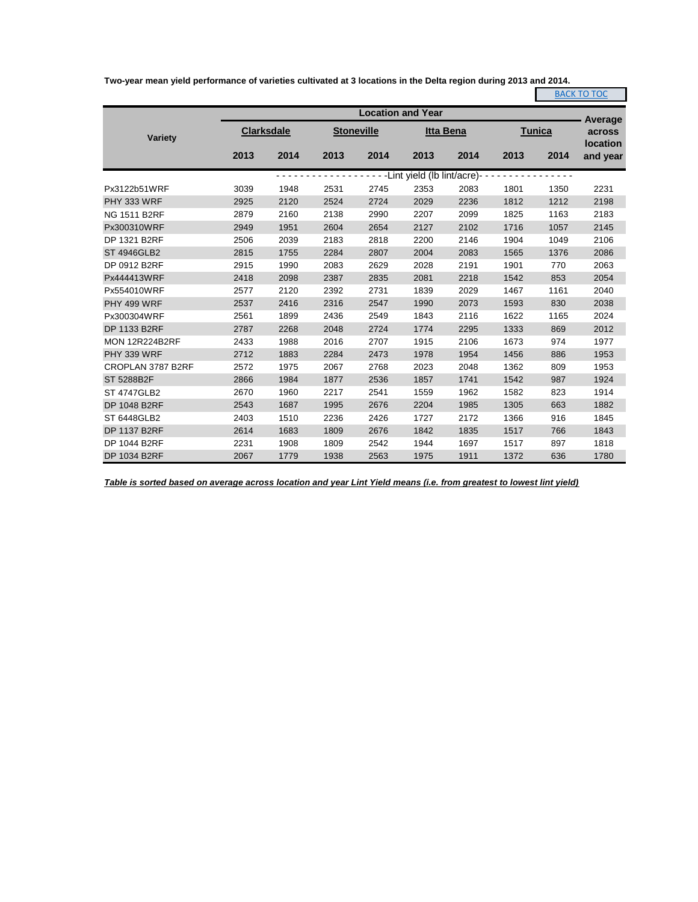**Two-year mean yield performance of varieties cultivated at 3 locations in the Delta region during 2013 and 2014.**

|                       |      |                   |      |                   |                             |                  |      |               | <b>BACK TO TOC</b> |
|-----------------------|------|-------------------|------|-------------------|-----------------------------|------------------|------|---------------|--------------------|
|                       |      |                   |      |                   | <b>Location and Year</b>    |                  |      |               | Average            |
| <b>Variety</b>        |      | <b>Clarksdale</b> |      | <b>Stoneville</b> |                             | <b>Itta Bena</b> |      | <b>Tunica</b> | across<br>location |
|                       | 2013 | 2014              | 2013 | 2014              | 2013                        | 2014             | 2013 | 2014          | and year           |
|                       |      |                   |      |                   | -Lint yield (lb lint/acre)- |                  |      |               |                    |
| Px3122b51WRF          | 3039 | 1948              | 2531 | 2745              | 2353                        | 2083             | 1801 | 1350          | 2231               |
| PHY 333 WRF           | 2925 | 2120              | 2524 | 2724              | 2029                        | 2236             | 1812 | 1212          | 2198               |
| <b>NG 1511 B2RF</b>   | 2879 | 2160              | 2138 | 2990              | 2207                        | 2099             | 1825 | 1163          | 2183               |
| Px300310WRF           | 2949 | 1951              | 2604 | 2654              | 2127                        | 2102             | 1716 | 1057          | 2145               |
| DP 1321 B2RF          | 2506 | 2039              | 2183 | 2818              | 2200                        | 2146             | 1904 | 1049          | 2106               |
| <b>ST 4946GLB2</b>    | 2815 | 1755              | 2284 | 2807              | 2004                        | 2083             | 1565 | 1376          | 2086               |
| DP 0912 B2RF          | 2915 | 1990              | 2083 | 2629              | 2028                        | 2191             | 1901 | 770           | 2063               |
| Px444413WRF           | 2418 | 2098              | 2387 | 2835              | 2081                        | 2218             | 1542 | 853           | 2054               |
| Px554010WRF           | 2577 | 2120              | 2392 | 2731              | 1839                        | 2029             | 1467 | 1161          | 2040               |
| PHY 499 WRF           | 2537 | 2416              | 2316 | 2547              | 1990                        | 2073             | 1593 | 830           | 2038               |
| Px300304WRF           | 2561 | 1899              | 2436 | 2549              | 1843                        | 2116             | 1622 | 1165          | 2024               |
| DP 1133 B2RF          | 2787 | 2268              | 2048 | 2724              | 1774                        | 2295             | 1333 | 869           | 2012               |
| <b>MON 12R224B2RF</b> | 2433 | 1988              | 2016 | 2707              | 1915                        | 2106             | 1673 | 974           | 1977               |
| PHY 339 WRF           | 2712 | 1883              | 2284 | 2473              | 1978                        | 1954             | 1456 | 886           | 1953               |
| CROPLAN 3787 B2RF     | 2572 | 1975              | 2067 | 2768              | 2023                        | 2048             | 1362 | 809           | 1953               |
| ST 5288B2F            | 2866 | 1984              | 1877 | 2536              | 1857                        | 1741             | 1542 | 987           | 1924               |
| <b>ST 4747GLB2</b>    | 2670 | 1960              | 2217 | 2541              | 1559                        | 1962             | 1582 | 823           | 1914               |
| DP 1048 B2RF          | 2543 | 1687              | 1995 | 2676              | 2204                        | 1985             | 1305 | 663           | 1882               |
| ST 6448GLB2           | 2403 | 1510              | 2236 | 2426              | 1727                        | 2172             | 1366 | 916           | 1845               |
| DP 1137 B2RF          | 2614 | 1683              | 1809 | 2676              | 1842                        | 1835             | 1517 | 766           | 1843               |
| DP 1044 B2RF          | 2231 | 1908              | 1809 | 2542              | 1944                        | 1697             | 1517 | 897           | 1818               |
| DP 1034 B2RF          | 2067 | 1779              | 1938 | 2563              | 1975                        | 1911             | 1372 | 636           | 1780               |

*Table is sorted based on average across location and year Lint Yield means (i.e. from greatest to lowest lint yield)*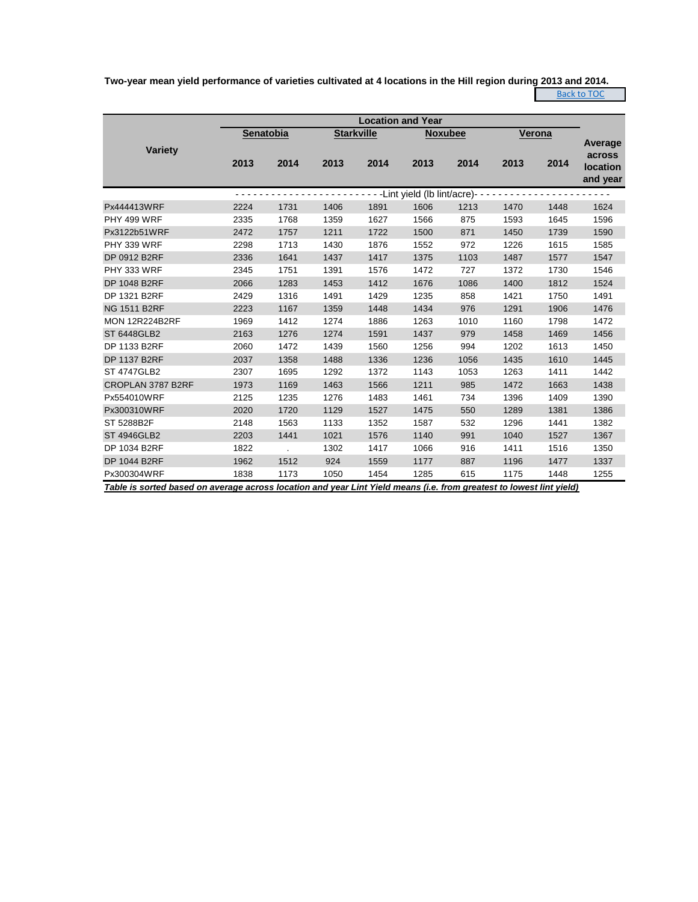**Two-year mean yield performance of varieties cultivated at 4 locations in the Hill region during 2013 and 2014.** Back to TOC

| <b>Location and Year</b>                                                                                             |           |      |      |                   |                               |      |      |               |                                                         |  |  |  |
|----------------------------------------------------------------------------------------------------------------------|-----------|------|------|-------------------|-------------------------------|------|------|---------------|---------------------------------------------------------|--|--|--|
|                                                                                                                      | Senatobia |      |      | <b>Starkville</b> | <b>Noxubee</b>                |      |      | <b>Verona</b> |                                                         |  |  |  |
| <b>Variety</b>                                                                                                       | 2013      | 2014 | 2013 | 2014              | 2013                          | 2014 | 2013 | 2014          | <b>Average</b><br>across<br><b>location</b><br>and year |  |  |  |
|                                                                                                                      |           |      |      |                   | -Lint yield (lb lint/acre)- - |      |      |               |                                                         |  |  |  |
| Px444413WRF                                                                                                          | 2224      | 1731 | 1406 | 1891              | 1606                          | 1213 | 1470 | 1448          | 1624                                                    |  |  |  |
| PHY 499 WRF                                                                                                          | 2335      | 1768 | 1359 | 1627              | 1566                          | 875  | 1593 | 1645          | 1596                                                    |  |  |  |
| Px3122b51WRF                                                                                                         | 2472      | 1757 | 1211 | 1722              | 1500                          | 871  | 1450 | 1739          | 1590                                                    |  |  |  |
| PHY 339 WRF                                                                                                          | 2298      | 1713 | 1430 | 1876              | 1552                          | 972  | 1226 | 1615          | 1585                                                    |  |  |  |
| DP 0912 B2RF                                                                                                         | 2336      | 1641 | 1437 | 1417              | 1375                          | 1103 | 1487 | 1577          | 1547                                                    |  |  |  |
| PHY 333 WRF                                                                                                          | 2345      | 1751 | 1391 | 1576              | 1472                          | 727  | 1372 | 1730          | 1546                                                    |  |  |  |
| DP 1048 B2RF                                                                                                         | 2066      | 1283 | 1453 | 1412              | 1676                          | 1086 | 1400 | 1812          | 1524                                                    |  |  |  |
| DP 1321 B2RF                                                                                                         | 2429      | 1316 | 1491 | 1429              | 1235                          | 858  | 1421 | 1750          | 1491                                                    |  |  |  |
| <b>NG 1511 B2RF</b>                                                                                                  | 2223      | 1167 | 1359 | 1448              | 1434                          | 976  | 1291 | 1906          | 1476                                                    |  |  |  |
| <b>MON 12R224B2RF</b>                                                                                                | 1969      | 1412 | 1274 | 1886              | 1263                          | 1010 | 1160 | 1798          | 1472                                                    |  |  |  |
| <b>ST 6448GLB2</b>                                                                                                   | 2163      | 1276 | 1274 | 1591              | 1437                          | 979  | 1458 | 1469          | 1456                                                    |  |  |  |
| DP 1133 B2RF                                                                                                         | 2060      | 1472 | 1439 | 1560              | 1256                          | 994  | 1202 | 1613          | 1450                                                    |  |  |  |
| DP 1137 B2RF                                                                                                         | 2037      | 1358 | 1488 | 1336              | 1236                          | 1056 | 1435 | 1610          | 1445                                                    |  |  |  |
| <b>ST 4747GLB2</b>                                                                                                   | 2307      | 1695 | 1292 | 1372              | 1143                          | 1053 | 1263 | 1411          | 1442                                                    |  |  |  |
| CROPLAN 3787 B2RF                                                                                                    | 1973      | 1169 | 1463 | 1566              | 1211                          | 985  | 1472 | 1663          | 1438                                                    |  |  |  |
| Px554010WRF                                                                                                          | 2125      | 1235 | 1276 | 1483              | 1461                          | 734  | 1396 | 1409          | 1390                                                    |  |  |  |
| Px300310WRF                                                                                                          | 2020      | 1720 | 1129 | 1527              | 1475                          | 550  | 1289 | 1381          | 1386                                                    |  |  |  |
| ST 5288B2F                                                                                                           | 2148      | 1563 | 1133 | 1352              | 1587                          | 532  | 1296 | 1441          | 1382                                                    |  |  |  |
| <b>ST 4946GLB2</b>                                                                                                   | 2203      | 1441 | 1021 | 1576              | 1140                          | 991  | 1040 | 1527          | 1367                                                    |  |  |  |
| DP 1034 B2RF                                                                                                         | 1822      |      | 1302 | 1417              | 1066                          | 916  | 1411 | 1516          | 1350                                                    |  |  |  |
| DP 1044 B2RF                                                                                                         | 1962      | 1512 | 924  | 1559              | 1177                          | 887  | 1196 | 1477          | 1337                                                    |  |  |  |
| Px300304WRF                                                                                                          | 1838      | 1173 | 1050 | 1454              | 1285                          | 615  | 1175 | 1448          | 1255                                                    |  |  |  |
| Table is sorted based on average across location and year Lint Yield means (i.e. from greatest to lowest lint yield) |           |      |      |                   |                               |      |      |               |                                                         |  |  |  |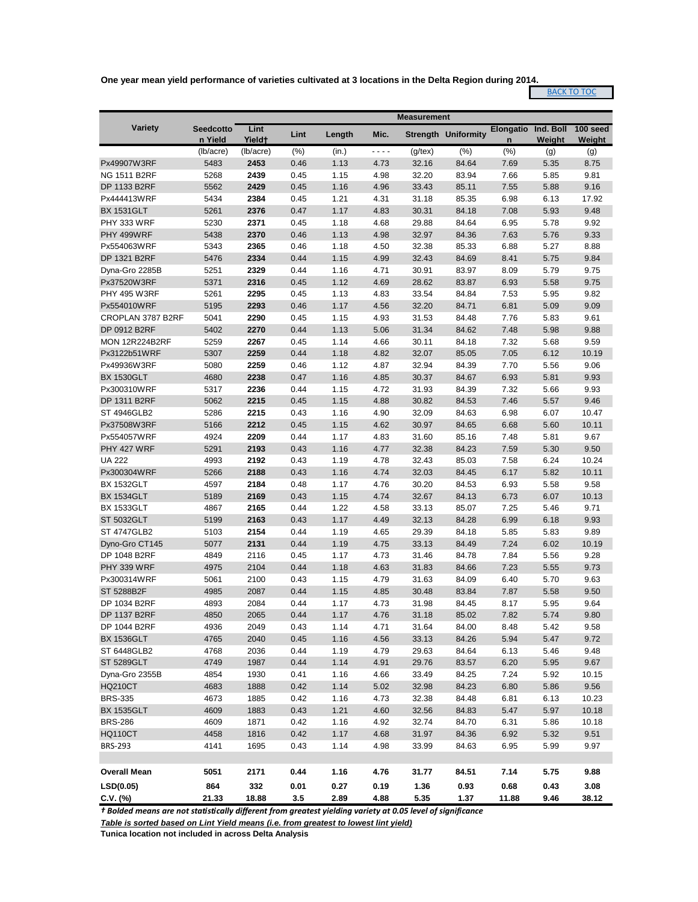**One year mean yield performance of varieties cultivated at 3 locations in the Delta Region during 2014.**

## **BACK TO TOC**

|                       |                             |                            |      |        |         | <b>Measurement</b> |                            |                       |                     |                    |
|-----------------------|-----------------------------|----------------------------|------|--------|---------|--------------------|----------------------------|-----------------------|---------------------|--------------------|
| <b>Variety</b>        | <b>Seedcotto</b><br>n Yield | Lint<br>Yield <sup>+</sup> | Lint | Length | Mic.    |                    | <b>Strength Uniformity</b> | <b>Elongatio</b><br>n | Ind. Boll<br>Weight | 100 seed<br>Weight |
|                       | (lb/acre)                   | (lb/acre)                  | (%)  | (in.)  | - - - - | $(g$ /tex $)$      | (%)                        | (% )                  | (g)                 | (g)                |
| Px49907W3RF           | 5483                        | 2453                       | 0.46 | 1.13   | 4.73    | 32.16              | 84.64                      | 7.69                  | 5.35                | 8.75               |
| <b>NG 1511 B2RF</b>   | 5268                        | 2439                       | 0.45 | 1.15   | 4.98    | 32.20              | 83.94                      | 7.66                  | 5.85                | 9.81               |
| DP 1133 B2RF          | 5562                        | 2429                       | 0.45 | 1.16   | 4.96    | 33.43              | 85.11                      | 7.55                  | 5.88                | 9.16               |
| Px444413WRF           | 5434                        | 2384                       | 0.45 | 1.21   | 4.31    | 31.18              | 85.35                      | 6.98                  | 6.13                | 17.92              |
| <b>BX 1531GLT</b>     | 5261                        | 2376                       | 0.47 | 1.17   | 4.83    | 30.31              | 84.18                      | 7.08                  | 5.93                | 9.48               |
| PHY 333 WRF           | 5230                        | 2371                       | 0.45 | 1.18   | 4.68    | 29.88              | 84.64                      | 6.95                  | 5.78                | 9.92               |
| PHY 499WRF            | 5438                        | 2370                       | 0.46 | 1.13   | 4.98    | 32.97              | 84.36                      | 7.63                  | 5.76                | 9.33               |
| Px554063WRF           | 5343                        | 2365                       | 0.46 | 1.18   | 4.50    | 32.38              | 85.33                      | 6.88                  | 5.27                | 8.88               |
| DP 1321 B2RF          | 5476                        | 2334                       | 0.44 | 1.15   | 4.99    | 32.43              | 84.69                      | 8.41                  | 5.75                | 9.84               |
| Dyna-Gro 2285B        | 5251                        | 2329                       | 0.44 | 1.16   | 4.71    | 30.91              | 83.97                      | 8.09                  | 5.79                | 9.75               |
| Px37520W3RF           | 5371                        | 2316                       | 0.45 | 1.12   | 4.69    | 28.62              | 83.87                      | 6.93                  | 5.58                | 9.75               |
| <b>PHY 495 W3RF</b>   | 5261                        | 2295                       | 0.45 | 1.13   | 4.83    | 33.54              | 84.84                      | 7.53                  | 5.95                | 9.82               |
| Px554010WRF           | 5195                        | 2293                       | 0.46 | 1.17   | 4.56    | 32.20              | 84.71                      | 6.81                  | 5.09                | 9.09               |
| CROPLAN 3787 B2RF     | 5041                        | 2290                       | 0.45 | 1.15   | 4.93    | 31.53              | 84.48                      | 7.76                  | 5.83                | 9.61               |
| DP 0912 B2RF          | 5402                        | 2270                       | 0.44 | 1.13   | 5.06    | 31.34              | 84.62                      | 7.48                  | 5.98                | 9.88               |
| <b>MON 12R224B2RF</b> | 5259                        | 2267                       | 0.45 | 1.14   | 4.66    | 30.11              | 84.18                      | 7.32                  | 5.68                | 9.59               |
| Px3122b51WRF          | 5307                        | 2259                       | 0.44 | 1.18   | 4.82    | 32.07              | 85.05                      | 7.05                  | 6.12                | 10.19              |
| Px49936W3RF           | 5080                        | 2259                       | 0.46 | 1.12   | 4.87    | 32.94              | 84.39                      | 7.70                  | 5.56                | 9.06               |
| <b>BX 1530GLT</b>     | 4680                        | 2238                       | 0.47 | 1.16   | 4.85    | 30.37              | 84.67                      | 6.93                  | 5.81                | 9.93               |
| Px300310WRF           | 5317                        | 2236                       | 0.44 | 1.15   | 4.72    | 31.93              | 84.39                      | 7.32                  | 5.66                | 9.93               |
| DP 1311 B2RF          | 5062                        | 2215                       | 0.45 | 1.15   | 4.88    | 30.82              | 84.53                      | 7.46                  | 5.57                | 9.46               |
| ST 4946GLB2           | 5286                        | 2215                       | 0.43 | 1.16   | 4.90    | 32.09              | 84.63                      | 6.98                  | 6.07                | 10.47              |
| Px37508W3RF           | 5166                        | 2212                       | 0.45 | 1.15   | 4.62    | 30.97              | 84.65                      | 6.68                  | 5.60                | 10.11              |
| Px554057WRF           | 4924                        | 2209                       | 0.44 | 1.17   | 4.83    | 31.60              | 85.16                      | 7.48                  | 5.81                | 9.67               |
| PHY 427 WRF           | 5291                        | 2193                       | 0.43 | 1.16   | 4.77    | 32.38              | 84.23                      | 7.59                  | 5.30                | 9.50               |
| <b>UA 222</b>         | 4993                        | 2192                       | 0.43 | 1.19   | 4.78    | 32.43              | 85.03                      | 7.58                  | 6.24                | 10.24              |
| Px300304WRF           | 5266                        | 2188                       | 0.43 | 1.16   | 4.74    | 32.03              | 84.45                      | 6.17                  | 5.82                | 10.11              |
| <b>BX 1532GLT</b>     | 4597                        | 2184                       | 0.48 | 1.17   | 4.76    | 30.20              | 84.53                      | 6.93                  | 5.58                | 9.58               |
| <b>BX 1534GLT</b>     | 5189                        | 2169                       | 0.43 | 1.15   | 4.74    | 32.67              | 84.13                      | 6.73                  | 6.07                | 10.13              |
| <b>BX 1533GLT</b>     | 4867                        | 2165                       | 0.44 | 1.22   | 4.58    | 33.13              | 85.07                      | 7.25                  | 5.46                | 9.71               |
| <b>ST 5032GLT</b>     | 5199                        | 2163                       | 0.43 | 1.17   | 4.49    | 32.13              | 84.28                      | 6.99                  | 6.18                | 9.93               |
| <b>ST 4747GLB2</b>    | 5103                        | 2154                       | 0.44 | 1.19   | 4.65    | 29.39              | 84.18                      | 5.85                  | 5.83                | 9.89               |
| Dyno-Gro CT145        | 5077                        | 2131                       | 0.44 | 1.19   | 4.75    | 33.13              | 84.49                      | 7.24                  | 6.02                | 10.19              |
| DP 1048 B2RF          | 4849                        | 2116                       | 0.45 | 1.17   | 4.73    | 31.46              | 84.78                      | 7.84                  | 5.56                | 9.28               |
| PHY 339 WRF           | 4975                        | 2104                       | 0.44 | 1.18   | 4.63    | 31.83              | 84.66                      | 7.23                  | 5.55                | 9.73               |
| Px300314WRF           | 5061                        | 2100                       | 0.43 | 1.15   | 4.79    | 31.63              | 84.09                      | 6.40                  | 5.70                | 9.63               |
| ST 5288B2F            | 4985                        | 2087                       | 0.44 | 1.15   | 4.85    | 30.48              | 83.84                      | 7.87                  | 5.58                | 9.50               |
| DP 1034 B2RF          | 4893                        | 2084                       | 0.44 | 1.17   | 4.73    | 31.98              | 84.45                      | 8.17                  | 5.95                | 9.64               |
| DP 1137 B2RF          | 4850                        | 2065                       | 0.44 | 1.17   | 4.76    | 31.18              | 85.02                      | 7.82                  | 5.74                | 9.80               |
| DP 1044 B2RF          | 4936                        | 2049                       | 0.43 | 1.14   | 4.71    | 31.64              | 84.00                      | 8.48                  | 5.42                | 9.58               |
| <b>BX 1536GLT</b>     | 4765                        | 2040                       | 0.45 | 1.16   | 4.56    | 33.13              | 84.26                      | 5.94                  | 5.47                | 9.72               |
| ST 6448GLB2           | 4768                        | 2036                       | 0.44 | 1.19   | 4.79    | 29.63              | 84.64                      | 6.13                  | 5.46                | 9.48               |
| <b>ST 5289GLT</b>     | 4749                        | 1987                       | 0.44 | 1.14   | 4.91    | 29.76              | 83.57                      | 6.20                  | 5.95                | 9.67               |
| Dyna-Gro 2355B        | 4854                        | 1930                       | 0.41 | 1.16   | 4.66    | 33.49              | 84.25                      | 7.24                  | 5.92                | 10.15              |
| <b>HQ210CT</b>        | 4683                        | 1888                       | 0.42 | 1.14   | 5.02    | 32.98              | 84.23                      | 6.80                  | 5.86                | 9.56               |
| <b>BRS-335</b>        | 4673                        | 1885                       | 0.42 | 1.16   | 4.73    | 32.38              | 84.48                      | 6.81                  | 6.13                | 10.23              |
| <b>BX 1535GLT</b>     | 4609                        | 1883                       | 0.43 | 1.21   | 4.60    | 32.56              | 84.83                      | 5.47                  | 5.97                | 10.18              |
| <b>BRS-286</b>        | 4609                        | 1871                       | 0.42 | 1.16   | 4.92    | 32.74              | 84.70                      | 6.31                  | 5.86                | 10.18              |
| <b>HQ110CT</b>        | 4458                        | 1816                       | 0.42 | 1.17   | 4.68    | 31.97              | 84.36                      | 6.92                  | 5.32                | 9.51               |
| <b>BRS-293</b>        | 4141                        | 1695                       | 0.43 | 1.14   | 4.98    | 33.99              | 84.63                      | 6.95                  | 5.99                | 9.97               |
|                       |                             |                            |      |        |         |                    |                            |                       |                     |                    |
| <b>Overall Mean</b>   | 5051                        | 2171                       | 0.44 | 1.16   | 4.76    | 31.77              | 84.51                      | 7.14                  | 5.75                | 9.88               |
| LSD(0.05)             | 864                         | 332                        | 0.01 | 0.27   | 0.19    | 1.36               | 0.93                       | 0.68                  | 0.43                | 3.08               |
| $C.V.$ (%)            | 21.33                       | 18.88                      | 3.5  | 2.89   | 4.88    | 5.35               | 1.37                       | 11.88                 | 9.46                | 38.12              |

*† Bolded means are not statistically different from greatest yielding variety at 0.05 level of significance*

*Table is sorted based on Lint Yield means (i.e. from greatest to lowest lint yield)*

**Tunica location not included in across Delta Analysis**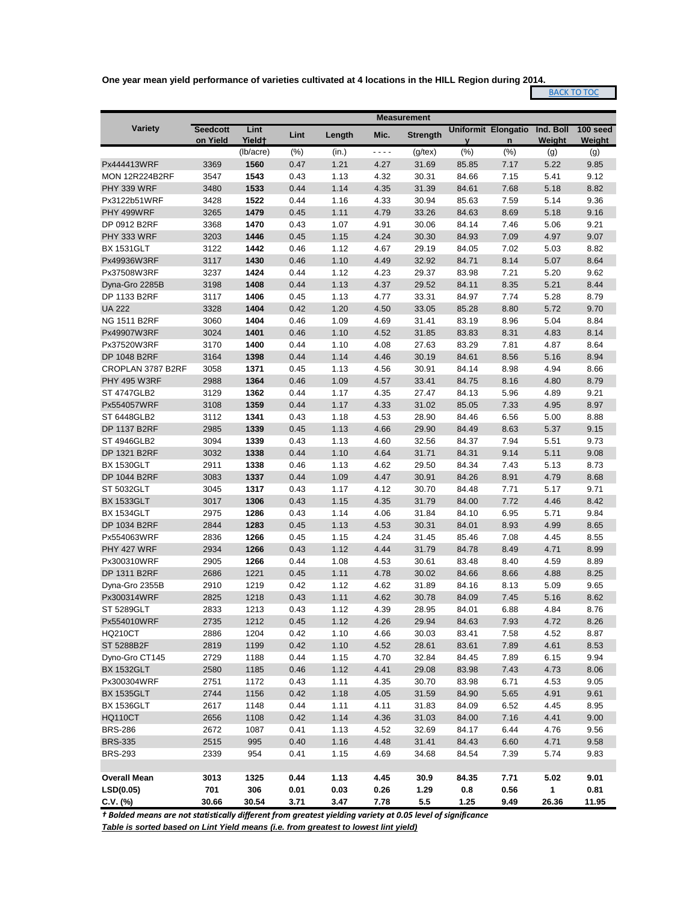**One year mean yield performance of varieties cultivated at 4 locations in the HILL Region during 2014.**

**BACK TO TOC** 

|                       |                 | <b>Measurement</b> |      |        |         |                 |             |                     |           |          |
|-----------------------|-----------------|--------------------|------|--------|---------|-----------------|-------------|---------------------|-----------|----------|
| <b>Variety</b>        | <b>Seedcott</b> | Lint               | Lint | Length | Mic.    | <b>Strength</b> |             | Uniformit Elongatio | Ind. Boll | 100 seed |
|                       | on Yield        | Yield <sup>+</sup> |      |        |         |                 | $\mathbf v$ | n                   | Weight    | Weight   |
|                       |                 | (lb/acre)          | (% ) | (in.)  | - - - - | $(g$ /tex $)$   | (% )        | (%)                 | (g)       | (g)      |
| Px444413WRF           | 3369            | 1560               | 0.47 | 1.21   | 4.27    | 31.69           | 85.85       | 7.17                | 5.22      | 9.85     |
| <b>MON 12R224B2RF</b> | 3547            | 1543               | 0.43 | 1.13   | 4.32    | 30.31           | 84.66       | 7.15                | 5.41      | 9.12     |
| PHY 339 WRF           | 3480            | 1533               | 0.44 | 1.14   | 4.35    | 31.39           | 84.61       | 7.68                | 5.18      | 8.82     |
| Px3122b51WRF          | 3428            | 1522               | 0.44 | 1.16   | 4.33    | 30.94           | 85.63       | 7.59                | 5.14      | 9.36     |
| PHY 499WRF            | 3265            | 1479               | 0.45 | 1.11   | 4.79    | 33.26           | 84.63       | 8.69                | 5.18      | 9.16     |
| DP 0912 B2RF          | 3368            | 1470               | 0.43 | 1.07   | 4.91    | 30.06           | 84.14       | 7.46                | 5.06      | 9.21     |
| PHY 333 WRF           | 3203            | 1446               | 0.45 | 1.15   | 4.24    | 30.30           | 84.93       | 7.09                | 4.97      | 9.07     |
| <b>BX 1531GLT</b>     | 3122            | 1442               | 0.46 | 1.12   | 4.67    | 29.19           | 84.05       | 7.02                | 5.03      | 8.82     |
| Px49936W3RF           | 3117            | 1430               | 0.46 | 1.10   | 4.49    | 32.92           | 84.71       | 8.14                | 5.07      | 8.64     |
| Px37508W3RF           | 3237            | 1424               | 0.44 | 1.12   | 4.23    | 29.37           | 83.98       | 7.21                | 5.20      | 9.62     |
| Dyna-Gro 2285B        | 3198            | 1408               | 0.44 | 1.13   | 4.37    | 29.52           | 84.11       | 8.35                | 5.21      | 8.44     |
| DP 1133 B2RF          | 3117            | 1406               | 0.45 | 1.13   | 4.77    | 33.31           | 84.97       | 7.74                | 5.28      | 8.79     |
| <b>UA 222</b>         | 3328            | 1404               | 0.42 | 1.20   | 4.50    | 33.05           | 85.28       | 8.80                | 5.72      | 9.70     |
| <b>NG 1511 B2RF</b>   | 3060            | 1404               | 0.46 | 1.09   | 4.69    | 31.41           | 83.19       | 8.96                | 5.04      | 8.84     |
| Px49907W3RF           | 3024            | 1401               | 0.46 | 1.10   | 4.52    | 31.85           | 83.83       | 8.31                | 4.83      | 8.14     |
| Px37520W3RF           | 3170            | 1400               | 0.44 | 1.10   | 4.08    | 27.63           | 83.29       | 7.81                | 4.87      | 8.64     |
| DP 1048 B2RF          | 3164            | 1398               | 0.44 | 1.14   | 4.46    | 30.19           | 84.61       | 8.56                | 5.16      | 8.94     |
| CROPLAN 3787 B2RF     | 3058            | 1371               | 0.45 | 1.13   | 4.56    | 30.91           | 84.14       | 8.98                | 4.94      | 8.66     |
| <b>PHY 495 W3RF</b>   | 2988            | 1364               | 0.46 | 1.09   | 4.57    | 33.41           | 84.75       | 8.16                | 4.80      | 8.79     |
| <b>ST 4747GLB2</b>    | 3129            | 1362               | 0.44 | 1.17   | 4.35    | 27.47           | 84.13       | 5.96                | 4.89      | 9.21     |
| Px554057WRF           | 3108            | 1359               | 0.44 | 1.17   | 4.33    | 31.02           | 85.05       | 7.33                | 4.95      | 8.97     |
| ST 6448GLB2           | 3112            | 1341               | 0.43 | 1.18   | 4.53    | 28.90           | 84.46       | 6.56                | 5.00      | 8.88     |
| DP 1137 B2RF          | 2985            | 1339               | 0.45 | 1.13   | 4.66    | 29.90           | 84.49       | 8.63                | 5.37      | 9.15     |
| <b>ST 4946GLB2</b>    | 3094            | 1339               | 0.43 | 1.13   | 4.60    | 32.56           | 84.37       | 7.94                | 5.51      | 9.73     |
| DP 1321 B2RF          | 3032            | 1338               | 0.44 | 1.10   | 4.64    | 31.71           | 84.31       | 9.14                | 5.11      | 9.08     |
| <b>BX 1530GLT</b>     | 2911            | 1338               | 0.46 | 1.13   | 4.62    | 29.50           | 84.34       | 7.43                | 5.13      | 8.73     |
| DP 1044 B2RF          | 3083            | 1337               | 0.44 | 1.09   | 4.47    | 30.91           | 84.26       | 8.91                | 4.79      | 8.68     |
| ST 5032GLT            | 3045            | 1317               | 0.43 | 1.17   | 4.12    | 30.70           | 84.48       | 7.71                | 5.17      | 9.71     |
| <b>BX 1533GLT</b>     | 3017            | 1306               | 0.43 | 1.15   | 4.35    | 31.79           | 84.00       | 7.72                | 4.46      | 8.42     |
| <b>BX 1534GLT</b>     | 2975            | 1286               | 0.43 | 1.14   | 4.06    | 31.84           | 84.10       | 6.95                | 5.71      | 9.84     |
| DP 1034 B2RF          | 2844            | 1283               | 0.45 | 1.13   | 4.53    | 30.31           | 84.01       | 8.93                | 4.99      | 8.65     |
| Px554063WRF           | 2836            | 1266               | 0.45 | 1.15   | 4.24    | 31.45           | 85.46       | 7.08                | 4.45      | 8.55     |
| PHY 427 WRF           | 2934            | 1266               | 0.43 | 1.12   | 4.44    | 31.79           | 84.78       | 8.49                | 4.71      | 8.99     |
| Px300310WRF           | 2905            | 1266               | 0.44 | 1.08   | 4.53    | 30.61           | 83.48       | 8.40                | 4.59      | 8.89     |
| DP 1311 B2RF          | 2686            | 1221               | 0.45 | 1.11   | 4.78    | 30.02           | 84.66       | 8.66                | 4.88      | 8.25     |
| Dyna-Gro 2355B        | 2910            | 1219               | 0.42 | 1.12   | 4.62    | 31.89           | 84.16       | 8.13                | 5.09      | 9.65     |
| Px300314WRF           | 2825            | 1218               | 0.43 | 1.11   | 4.62    | 30.78           | 84.09       | 7.45                | 5.16      | 8.62     |
| <b>ST 5289GLT</b>     | 2833            | 1213               | 0.43 | 1.12   | 4.39    | 28.95           | 84.01       | 6.88                | 4.84      | 8.76     |
| Px554010WRF           | 2735            | 1212               | 0.45 | 1.12   | 4.26    | 29.94           | 84.63       | 7.93                | 4.72      | 8.26     |
| <b>HQ210CT</b>        | 2886            | 1204               | 0.42 | 1.10   | 4.66    | 30.03           | 83.41       | 7.58                | 4.52      | 8.87     |
| ST 5288B2F            | 2819            | 1199               | 0.42 | 1.10   | 4.52    | 28.61           | 83.61       | 7.89                | 4.61      | 8.53     |
| Dyno-Gro CT145        | 2729            | 1188               | 0.44 | 1.15   | 4.70    | 32.84           | 84.45       | 7.89                | 6.15      | 9.94     |
| <b>BX 1532GLT</b>     | 2580            | 1185               | 0.46 | 1.12   | 4.41    | 29.08           | 83.98       | 7.43                | 4.73      | 8.06     |
| Px300304WRF           | 2751            | 1172               | 0.43 | 1.11   | 4.35    | 30.70           | 83.98       | 6.71                | 4.53      | 9.05     |
| <b>BX 1535GLT</b>     | 2744            | 1156               | 0.42 | 1.18   | 4.05    | 31.59           | 84.90       | 5.65                | 4.91      | 9.61     |
| <b>BX 1536GLT</b>     | 2617            | 1148               | 0.44 | 1.11   | 4.11    | 31.83           | 84.09       | 6.52                | 4.45      | 8.95     |
| <b>HQ110CT</b>        | 2656            | 1108               | 0.42 | 1.14   | 4.36    | 31.03           | 84.00       | 7.16                | 4.41      | 9.00     |
| <b>BRS-286</b>        | 2672            | 1087               | 0.41 | 1.13   | 4.52    | 32.69           | 84.17       | 6.44                | 4.76      | 9.56     |
| <b>BRS-335</b>        | 2515            | 995                | 0.40 | 1.16   | 4.48    | 31.41           | 84.43       | 6.60                | 4.71      | 9.58     |
| <b>BRS-293</b>        | 2339            | 954                | 0.41 | 1.15   | 4.69    | 34.68           | 84.54       | 7.39                | 5.74      | 9.83     |
|                       |                 |                    |      |        |         |                 |             |                     |           |          |
| <b>Overall Mean</b>   | 3013            | 1325               | 0.44 | 1.13   | 4.45    | 30.9            | 84.35       | 7.71                | 5.02      | 9.01     |
| LSD(0.05)             | 701             | 306                | 0.01 | 0.03   | 0.26    | 1.29            | 0.8         | 0.56                | 1         | 0.81     |
| $C.V.$ (%)            | 30.66           | 30.54              | 3.71 | 3.47   | 7.78    | 5.5             | 1.25        | 9.49                | 26.36     | 11.95    |

*† Bolded means are not statistically different from greatest yielding variety at 0.05 level of significance*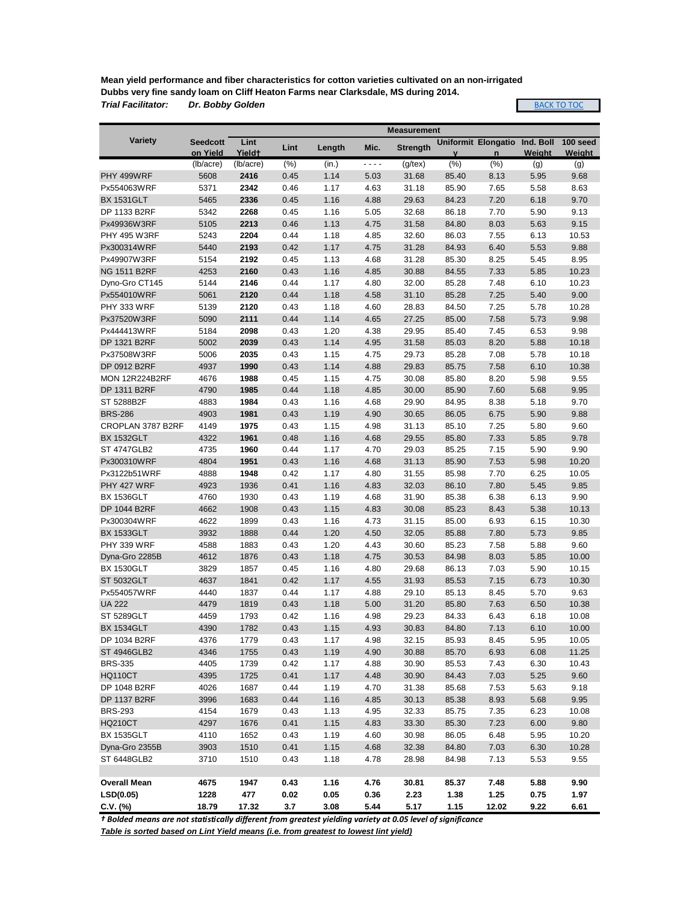**Mean yield performance and fiber characteristics for cotton varieties cultivated on an non-irrigated Dubbs very fine sandy loam on Cliff Heaton Farms near Clarksdale, MS during 2014.** *Trial Facilitator: Dr. Bobby Golden*

BACK TO TOC

|                                   | <b>Measurement</b> |                    |              |              |              |                 |              |                     |              |                |
|-----------------------------------|--------------------|--------------------|--------------|--------------|--------------|-----------------|--------------|---------------------|--------------|----------------|
| <b>Variety</b>                    | <b>Seedcott</b>    | Lint               | Lint         | Length       | Mic.         | <b>Strength</b> |              | Uniformit Elongatio | Ind. Boll    | 100 seed       |
|                                   | on Yield           | Yield <sup>+</sup> |              |              |              |                 | $\mathbf{v}$ | $\mathsf{n}$        | Weight       | Weight         |
|                                   | (lb/acre)          | (lb/acre)          | (% )         | (in.)        | - - - -      | $(g$ /tex $)$   | (% )         | (% )                | (g)          | (g)            |
| PHY 499WRF                        | 5608               | 2416               | 0.45         | 1.14         | 5.03         | 31.68           | 85.40        | 8.13                | 5.95         | 9.68           |
| Px554063WRF                       | 5371               | 2342               | 0.46         | 1.17         | 4.63         | 31.18           | 85.90        | 7.65                | 5.58         | 8.63           |
| <b>BX 1531GLT</b>                 | 5465               | 2336               | 0.45         | 1.16         | 4.88         | 29.63           | 84.23        | 7.20                | 6.18         | 9.70           |
| DP 1133 B2RF                      | 5342               | 2268               | 0.45         | 1.16         | 5.05         | 32.68           | 86.18        | 7.70                | 5.90         | 9.13           |
| Px49936W3RF                       | 5105               | 2213               | 0.46         | 1.13         | 4.75         | 31.58           | 84.80        | 8.03                | 5.63         | 9.15           |
| <b>PHY 495 W3RF</b>               | 5243               | 2204               | 0.44         | 1.18         | 4.85         | 32.60           | 86.03        | 7.55                | 6.13         | 10.53          |
| Px300314WRF                       | 5440               | 2193               | 0.42         | 1.17         | 4.75         | 31.28           | 84.93        | 6.40                | 5.53         | 9.88           |
| Px49907W3RF                       | 5154               | 2192               | 0.45         | 1.13         | 4.68         | 31.28           | 85.30        | 8.25                | 5.45         | 8.95           |
| <b>NG 1511 B2RF</b>               | 4253               | 2160               | 0.43         | 1.16         | 4.85         | 30.88           | 84.55        | 7.33                | 5.85         | 10.23          |
| Dyno-Gro CT145                    | 5144               | 2146               | 0.44         | 1.17         | 4.80         | 32.00           | 85.28        | 7.48                | 6.10         | 10.23          |
| Px554010WRF                       | 5061               | 2120               | 0.44         | 1.18         | 4.58         | 31.10           | 85.28        | 7.25                | 5.40         | 9.00           |
| PHY 333 WRF                       | 5139               | 2120               | 0.43         | 1.18         | 4.60         | 28.83           | 84.50        | 7.25                | 5.78         | 10.28          |
| Px37520W3RF                       | 5090               | 2111               | 0.44         | 1.14         | 4.65         | 27.25           | 85.00        | 7.58                | 5.73         | 9.98           |
| Px444413WRF                       | 5184               | 2098               | 0.43         | 1.20         | 4.38         | 29.95           | 85.40        | 7.45                | 6.53         | 9.98           |
| DP 1321 B2RF                      | 5002               | 2039               | 0.43         | 1.14         | 4.95         | 31.58           | 85.03        | 8.20                | 5.88         | 10.18          |
| Px37508W3RF                       | 5006               | 2035               | 0.43         | 1.15         | 4.75         | 29.73           | 85.28        | 7.08                | 5.78         | 10.18          |
| DP 0912 B2RF                      | 4937               | 1990               | 0.43         | 1.14         | 4.88         | 29.83           | 85.75        | 7.58                | 6.10         | 10.38          |
| <b>MON 12R224B2RF</b>             | 4676               | 1988               | 0.45         | 1.15         | 4.75         | 30.08           | 85.80        | 8.20                | 5.98         | 9.55           |
| DP 1311 B2RF                      | 4790               | 1985               | 0.44         | 1.18         | 4.85         | 30.00           | 85.90        | 7.60                | 5.68         | 9.95           |
| ST 5288B2F                        | 4883               | 1984               | 0.43         | 1.16         | 4.68         | 29.90           | 84.95        | 8.38                | 5.18         | 9.70           |
| <b>BRS-286</b>                    | 4903               | 1981               | 0.43         | 1.19         | 4.90         | 30.65           | 86.05        | 6.75                | 5.90         | 9.88           |
| CROPLAN 3787 B2RF                 | 4149               | 1975               | 0.43         | 1.15         | 4.98         | 31.13           | 85.10        | 7.25                | 5.80         | 9.60           |
| <b>BX 1532GLT</b>                 | 4322               | 1961               | 0.48         | 1.16         | 4.68         | 29.55           | 85.80        | 7.33                | 5.85         | 9.78           |
| <b>ST 4747GLB2</b>                | 4735               | 1960               | 0.44         | 1.17         | 4.70         | 29.03           | 85.25        | 7.15                | 5.90         | 9.90           |
| Px300310WRF                       | 4804               | 1951               | 0.43         | 1.16         | 4.68         | 31.13           | 85.90        | 7.53                | 5.98         | 10.20          |
| Px3122b51WRF                      | 4888               | 1948               | 0.42         | 1.17         | 4.80         | 31.55           | 85.98        | 7.70                | 6.25         | 10.05          |
| PHY 427 WRF                       | 4923               | 1936               | 0.41         | 1.16         | 4.83         | 32.03           | 86.10        | 7.80                | 5.45         | 9.85           |
| <b>BX 1536GLT</b>                 | 4760               | 1930               | 0.43         | 1.19         | 4.68         | 31.90           | 85.38        | 6.38                | 6.13         | 9.90           |
| DP 1044 B2RF                      | 4662               | 1908               | 0.43         | 1.15         | 4.83         | 30.08           | 85.23        | 8.43                | 5.38         | 10.13          |
| Px300304WRF                       | 4622               | 1899               | 0.43         | 1.16         | 4.73         | 31.15           | 85.00        | 6.93                | 6.15         | 10.30          |
| <b>BX 1533GLT</b>                 | 3932               | 1888               | 0.44         | 1.20         | 4.50         | 32.05           | 85.88        | 7.80                | 5.73         | 9.85           |
| PHY 339 WRF                       | 4588               | 1883               | 0.43         | 1.20         | 4.43         | 30.60           | 85.23        | 7.58                | 5.88         | 9.60           |
| Dyna-Gro 2285B                    | 4612               | 1876               | 0.43         | 1.18         | 4.75         | 30.53           | 84.98        | 8.03                | 5.85         | 10.00          |
| <b>BX 1530GLT</b>                 | 3829               | 1857               | 0.45         | 1.16         | 4.80         | 29.68           | 86.13        | 7.03                | 5.90         | 10.15          |
| <b>ST 5032GLT</b>                 | 4637               | 1841               | 0.42         | 1.17         | 4.55         | 31.93           | 85.53        | 7.15                | 6.73         | 10.30          |
| Px554057WRF                       | 4440               | 1837               | 0.44         | 1.17         | 4.88         | 29.10           | 85.13        | 8.45                | 5.70         | 9.63           |
| <b>UA 222</b>                     | 4479               | 1819               | 0.43         | 1.18         | 5.00         | 31.20           | 85.80        | 7.63                | 6.50         | 10.38          |
| <b>ST 5289GLT</b>                 | 4459               | 1793               | 0.42         | 1.16         | 4.98         | 29.23           | 84.33        | 6.43                | 6.18         | 10.08          |
| <b>BX 1534GLT</b><br>DP 1034 B2RF | 4390<br>4376       | 1782               | 0.43<br>0.43 | 1.15         | 4.93         | 30.83           | 84.80        | 7.13                | 6.10<br>5.95 | 10.00<br>10.05 |
|                                   |                    | 1779               |              | 1.17         | 4.98         | 32.15           | 85.93        | 8.45                |              |                |
| <b>ST 4946GLB2</b>                | 4346               | 1755               | 0.43         | 1.19         | 4.90         | 30.88           | 85.70        | 6.93                | 6.08         | 11.25          |
| <b>BRS-335</b>                    | 4405<br>4395       | 1739<br>1725       | 0.42<br>0.41 | 1.17         | 4.88         | 30.90           | 85.53        | 7.43                | 6.30         | 10.43          |
| <b>HQ110CT</b><br>DP 1048 B2RF    |                    |                    |              | 1.17         | 4.48         | 30.90           | 84.43        | 7.03                | 5.25         | 9.60           |
|                                   | 4026               | 1687               | 0.44         | 1.19         | 4.70         | 31.38           | 85.68        | 7.53                | 5.63         | 9.18           |
| DP 1137 B2RF                      | 3996               | 1683               | 0.44         | 1.16         | 4.85         | 30.13           | 85.38        | 8.93                | 5.68         | 9.95           |
| <b>BRS-293</b>                    | 4154               | 1679               | 0.43         | 1.13         | 4.95         | 32.33           | 85.75        | 7.35                | 6.23         | 10.08          |
| <b>HQ210CT</b>                    | 4297               | 1676               | 0.41         | 1.15         | 4.83         | 33.30           | 85.30        | 7.23                | 6.00         | 9.80           |
| <b>BX 1535GLT</b>                 | 4110               | 1652               | 0.43         | 1.19         | 4.60         | 30.98           | 86.05        | 6.48                | 5.95         | 10.20          |
| Dyna-Gro 2355B                    | 3903               | 1510               | 0.41         | 1.15         | 4.68         | 32.38           | 84.80        | 7.03                | 6.30         | 10.28          |
| ST 6448GLB2                       | 3710               | 1510               | 0.43         | 1.18         | 4.78         | 28.98           | 84.98        | 7.13                | 5.53         | 9.55           |
|                                   |                    |                    |              |              |              |                 |              |                     |              |                |
| <b>Overall Mean</b>               | 4675               | 1947               | 0.43         | 1.16         | 4.76         | 30.81           | 85.37        | 7.48                | 5.88         | 9.90           |
| LSD(0.05)                         | 1228<br>18.79      | 477<br>17.32       | 0.02         | 0.05<br>3.08 | 0.36<br>5.44 | 2.23<br>5.17    | 1.38<br>1.15 | 1.25<br>12.02       | 0.75<br>9.22 | 1.97           |
| $C.V.$ (%)                        |                    |                    | 3.7          |              |              |                 |              |                     |              | 6.61           |

*† Bolded means are not statistically different from greatest yielding variety at 0.05 level of significance*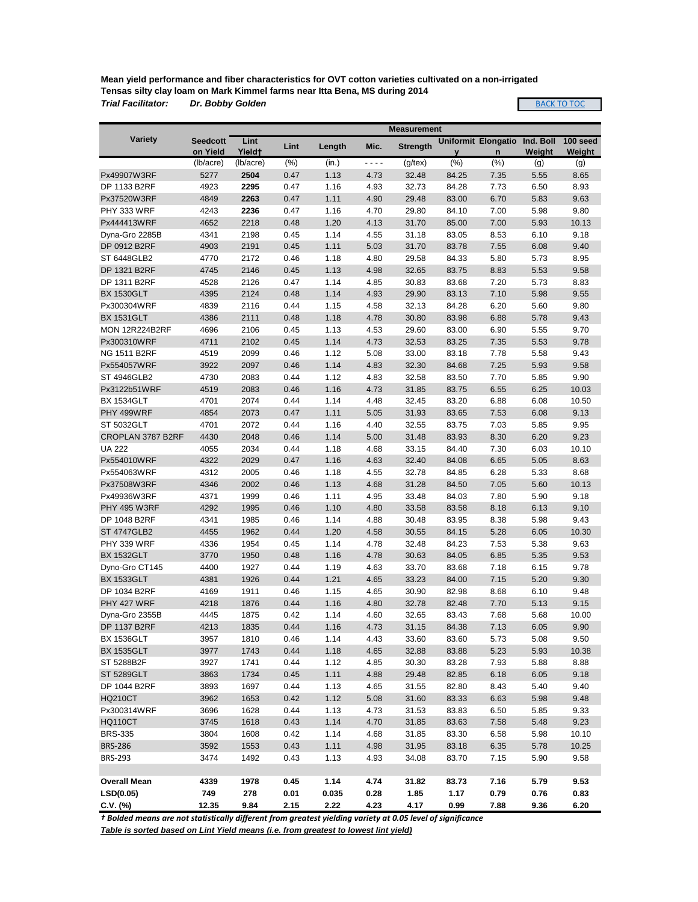**Mean yield performance and fiber characteristics for OVT cotton varieties cultivated on a non-irrigated Tensas silty clay loam on Mark Kimmel farms near Itta Bena, MS during 2014** *Trial Facilitator: Dr. Bobby Golden*

**BACK TO TOC** 

|                       |                 |                    |      |        |         | <b>Measurement</b> |       |                            |           |               |
|-----------------------|-----------------|--------------------|------|--------|---------|--------------------|-------|----------------------------|-----------|---------------|
| <b>Variety</b>        | <b>Seedcott</b> | Lint               | Lint | Length | Mic.    | <b>Strength</b>    |       | <b>Uniformit Elongatio</b> | Ind. Boll | 100 seed      |
|                       | on Yield        | Yield <sup>+</sup> |      |        |         |                    | V     | $\mathsf{n}$               | Weight    | <b>Weight</b> |
|                       | (lb/acre)       | (lb/acre)          | (% ) | (in.)  | - - - - | $(g$ /tex $)$      | (% )  | (% )                       | (g)       | (g)           |
| Px49907W3RF           | 5277            | 2504               | 0.47 | 1.13   | 4.73    | 32.48              | 84.25 | 7.35                       | 5.55      | 8.65          |
| DP 1133 B2RF          | 4923            | 2295               | 0.47 | 1.16   | 4.93    | 32.73              | 84.28 | 7.73                       | 6.50      | 8.93          |
| Px37520W3RF           | 4849            | 2263               | 0.47 | 1.11   | 4.90    | 29.48              | 83.00 | 6.70                       | 5.83      | 9.63          |
| PHY 333 WRF           | 4243            | 2236               | 0.47 | 1.16   | 4.70    | 29.80              | 84.10 | 7.00                       | 5.98      | 9.80          |
| Px444413WRF           | 4652            | 2218               | 0.48 | 1.20   | 4.13    | 31.70              | 85.00 | 7.00                       | 5.93      | 10.13         |
| Dyna-Gro 2285B        | 4341            | 2198               | 0.45 | 1.14   | 4.55    | 31.18              | 83.05 | 8.53                       | 6.10      | 9.18          |
| DP 0912 B2RF          | 4903            | 2191               | 0.45 | 1.11   | 5.03    | 31.70              | 83.78 | 7.55                       | 6.08      | 9.40          |
| ST 6448GLB2           | 4770            | 2172               | 0.46 | 1.18   | 4.80    | 29.58              | 84.33 | 5.80                       | 5.73      | 8.95          |
| DP 1321 B2RF          | 4745            | 2146               | 0.45 | 1.13   | 4.98    | 32.65              | 83.75 | 8.83                       | 5.53      | 9.58          |
| DP 1311 B2RF          | 4528            | 2126               | 0.47 | 1.14   | 4.85    | 30.83              | 83.68 | 7.20                       | 5.73      | 8.83          |
| <b>BX 1530GLT</b>     | 4395            | 2124               | 0.48 | 1.14   | 4.93    | 29.90              | 83.13 | 7.10                       | 5.98      | 9.55          |
| Px300304WRF           | 4839            | 2116               | 0.44 | 1.15   | 4.58    | 32.13              | 84.28 | 6.20                       | 5.60      | 9.80          |
| <b>BX 1531GLT</b>     | 4386            | 2111               | 0.48 | 1.18   | 4.78    | 30.80              | 83.98 | 6.88                       | 5.78      | 9.43          |
| <b>MON 12R224B2RF</b> | 4696            | 2106               | 0.45 | 1.13   | 4.53    | 29.60              | 83.00 | 6.90                       | 5.55      | 9.70          |
| Px300310WRF           | 4711            | 2102               | 0.45 | 1.14   | 4.73    | 32.53              | 83.25 | 7.35                       | 5.53      | 9.78          |
| <b>NG 1511 B2RF</b>   | 4519            | 2099               | 0.46 | 1.12   | 5.08    | 33.00              | 83.18 | 7.78                       | 5.58      | 9.43          |
| Px554057WRF           | 3922            | 2097               | 0.46 | 1.14   | 4.83    | 32.30              | 84.68 | 7.25                       | 5.93      | 9.58          |
| <b>ST 4946GLB2</b>    | 4730            | 2083               | 0.44 | 1.12   | 4.83    | 32.58              | 83.50 | 7.70                       | 5.85      | 9.90          |
| Px3122b51WRF          | 4519            | 2083               | 0.46 | 1.16   | 4.73    | 31.85              | 83.75 | 6.55                       | 6.25      | 10.03         |
| <b>BX 1534GLT</b>     | 4701            | 2074               | 0.44 | 1.14   | 4.48    | 32.45              | 83.20 | 6.88                       | 6.08      | 10.50         |
| PHY 499WRF            | 4854            | 2073               | 0.47 | 1.11   | 5.05    | 31.93              | 83.65 | 7.53                       | 6.08      | 9.13          |
| ST 5032GLT            | 4701            | 2072               | 0.44 | 1.16   | 4.40    | 32.55              | 83.75 | 7.03                       | 5.85      | 9.95          |
| CROPLAN 3787 B2RF     | 4430            | 2048               | 0.46 | 1.14   | 5.00    | 31.48              | 83.93 | 8.30                       | 6.20      | 9.23          |
| <b>UA 222</b>         | 4055            | 2034               | 0.44 | 1.18   | 4.68    | 33.15              | 84.40 | 7.30                       | 6.03      | 10.10         |
| Px554010WRF           | 4322            | 2029               | 0.47 | 1.16   | 4.63    | 32.40              | 84.08 | 6.65                       | 5.05      | 8.63          |
| Px554063WRF           | 4312            | 2005               | 0.46 | 1.18   | 4.55    | 32.78              | 84.85 | 6.28                       | 5.33      | 8.68          |
| Px37508W3RF           | 4346            | 2002               | 0.46 | 1.13   | 4.68    | 31.28              | 84.50 | 7.05                       | 5.60      | 10.13         |
| Px49936W3RF           | 4371            | 1999               | 0.46 | 1.11   | 4.95    | 33.48              | 84.03 | 7.80                       | 5.90      | 9.18          |
| <b>PHY 495 W3RF</b>   | 4292            | 1995               | 0.46 | 1.10   | 4.80    | 33.58              | 83.58 | 8.18                       | 6.13      | 9.10          |
| DP 1048 B2RF          | 4341            | 1985               | 0.46 | 1.14   | 4.88    | 30.48              | 83.95 | 8.38                       | 5.98      | 9.43          |
| <b>ST 4747GLB2</b>    | 4455            | 1962               | 0.44 | 1.20   | 4.58    | 30.55              | 84.15 | 5.28                       | 6.05      | 10.30         |
| PHY 339 WRF           | 4336            | 1954               | 0.45 | 1.14   | 4.78    | 32.48              | 84.23 | 7.53                       | 5.38      | 9.63          |
| <b>BX 1532GLT</b>     | 3770            | 1950               | 0.48 | 1.16   | 4.78    | 30.63              | 84.05 | 6.85                       | 5.35      | 9.53          |
| Dyno-Gro CT145        | 4400            | 1927               | 0.44 | 1.19   | 4.63    | 33.70              | 83.68 | 7.18                       | 6.15      | 9.78          |
| <b>BX 1533GLT</b>     | 4381            | 1926               | 0.44 | 1.21   | 4.65    | 33.23              | 84.00 | 7.15                       | 5.20      | 9.30          |
| DP 1034 B2RF          | 4169            | 1911               | 0.46 | 1.15   | 4.65    | 30.90              | 82.98 | 8.68                       | 6.10      | 9.48          |
| PHY 427 WRF           | 4218            | 1876               | 0.44 | 1.16   | 4.80    | 32.78              | 82.48 | 7.70                       | 5.13      | 9.15          |
| Dyna-Gro 2355B        | 4445            | 1875               | 0.42 | 1.14   | 4.60    | 32.65              | 83.43 | 7.68                       | 5.68      | 10.00         |
| DP 1137 B2RF          | 4213            | 1835               | 0.44 | 1.16   | 4.73    | 31.15              | 84.38 | 7.13                       | 6.05      | 9.90          |
| <b>BX 1536GLT</b>     | 3957            | 1810               | 0.46 | 1.14   | 4.43    | 33.60              | 83.60 | 5.73                       | 5.08      | 9.50          |
| <b>BX 1535GLT</b>     | 3977            | 1743               | 0.44 | 1.18   | 4.65    | 32.88              | 83.88 | 5.23                       | 5.93      | 10.38         |
| ST 5288B2F            | 3927            | 1741               | 0.44 | 1.12   | 4.85    | 30.30              | 83.28 | 7.93                       | 5.88      | 8.88          |
| <b>ST 5289GLT</b>     | 3863            | 1734               | 0.45 | 1.11   | 4.88    | 29.48              | 82.85 | 6.18                       | 6.05      | 9.18          |
| DP 1044 B2RF          | 3893            | 1697               | 0.44 | 1.13   | 4.65    | 31.55              | 82.80 | 8.43                       | 5.40      | 9.40          |
| <b>HQ210CT</b>        | 3962            | 1653               | 0.42 | 1.12   | 5.08    | 31.60              | 83.33 | 6.63                       | 5.98      | 9.48          |
| Px300314WRF           | 3696            | 1628               | 0.44 | 1.13   | 4.73    | 31.53              | 83.83 | 6.50                       | 5.85      | 9.33          |
| <b>HQ110CT</b>        | 3745            | 1618               | 0.43 | 1.14   | 4.70    | 31.85              | 83.63 | 7.58                       | 5.48      | 9.23          |
| <b>BRS-335</b>        | 3804            | 1608               | 0.42 | 1.14   | 4.68    | 31.85              | 83.30 | 6.58                       | 5.98      | 10.10         |
| <b>BRS-286</b>        | 3592            | 1553               | 0.43 | 1.11   | 4.98    | 31.95              | 83.18 | 6.35                       | 5.78      | 10.25         |
| <b>BRS-293</b>        | 3474            | 1492               | 0.43 | 1.13   | 4.93    | 34.08              | 83.70 | 7.15                       | 5.90      | 9.58          |
|                       |                 |                    |      |        |         |                    |       |                            |           |               |
| <b>Overall Mean</b>   | 4339            | 1978               | 0.45 | 1.14   | 4.74    | 31.82              | 83.73 | 7.16                       | 5.79      | 9.53          |
| LSD(0.05)             | 749             | 278                | 0.01 | 0.035  | 0.28    | 1.85               | 1.17  | 0.79                       | 0.76      | 0.83          |
| C.V. (%)              | 12.35           | 9.84               | 2.15 | 2.22   | 4.23    | 4.17               | 0.99  | 7.88                       | 9.36      | 6.20          |

*† Bolded means are not statistically different from greatest yielding variety at 0.05 level of significance*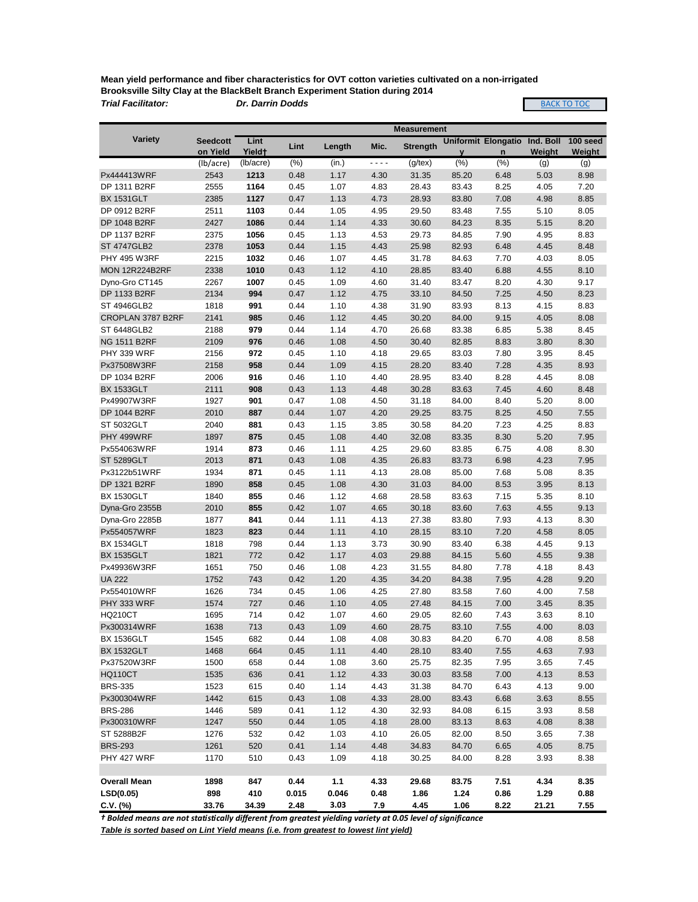**Mean yield performance and fiber characteristics for OVT cotton varieties cultivated on a non-irrigated Brooksville Silty Clay at the BlackBelt Branch Experiment Station during 2014**

*Trial Facilitator: Dr. Darrin Dodds*

**BACK TO TOC** 

|                               |                             |                            |              |              |              | <b>Measurement</b> |                |                                            |                     |                           |
|-------------------------------|-----------------------------|----------------------------|--------------|--------------|--------------|--------------------|----------------|--------------------------------------------|---------------------|---------------------------|
| <b>Variety</b>                | <b>Seedcott</b><br>on Yield | Lint<br>Yield <sup>+</sup> | Lint         | Length       | Mic.         | <b>Strength</b>    | $\mathbf{V}$   | <b>Uniformit Elongatio</b><br>$\mathsf{n}$ | Ind. Boll<br>Weight | 100 seed<br><b>Weight</b> |
|                               | (lb/acre)                   | (lb/acre)                  | (% )         | (in.)        | ----         | $(g$ /tex $)$      | (% )           | (% )                                       | (g)                 | (g)                       |
| Px444413WRF                   | 2543                        | 1213                       | 0.48         | 1.17         | 4.30         | 31.35              | 85.20          | 6.48                                       | 5.03                | 8.98                      |
| DP 1311 B2RF                  | 2555                        | 1164                       | 0.45         | 1.07         | 4.83         | 28.43              | 83.43          | 8.25                                       | 4.05                | 7.20                      |
| <b>BX 1531GLT</b>             | 2385                        | 1127                       | 0.47         | 1.13         | 4.73         | 28.93              | 83.80          | 7.08                                       | 4.98                | 8.85                      |
| DP 0912 B2RF                  | 2511                        | 1103                       | 0.44         | 1.05         | 4.95         | 29.50              | 83.48          | 7.55                                       | 5.10                | 8.05                      |
| DP 1048 B2RF                  | 2427                        | 1086                       | 0.44         | 1.14         | 4.33         | 30.60              | 84.23          | 8.35                                       | 5.15                | 8.20                      |
| DP 1137 B2RF                  | 2375                        | 1056                       | 0.45         | 1.13         | 4.53         | 29.73              | 84.85          | 7.90                                       | 4.95                | 8.83                      |
| <b>ST 4747GLB2</b>            | 2378                        | 1053                       | 0.44         | 1.15         | 4.43         | 25.98              | 82.93          | 6.48                                       | 4.45                | 8.48                      |
| <b>PHY 495 W3RF</b>           | 2215                        | 1032                       | 0.46         | 1.07         | 4.45         | 31.78              | 84.63          | 7.70                                       | 4.03                | 8.05                      |
| <b>MON 12R224B2RF</b>         | 2338                        | 1010                       | 0.43         | 1.12         | 4.10         | 28.85              | 83.40          | 6.88                                       | 4.55                | 8.10                      |
| Dyno-Gro CT145                | 2267                        | 1007                       | 0.45         | 1.09         | 4.60         | 31.40              | 83.47          | 8.20                                       | 4.30                | 9.17                      |
| DP 1133 B2RF                  | 2134                        | 994                        | 0.47         | 1.12         | 4.75         | 33.10              | 84.50          | 7.25                                       | 4.50                | 8.23                      |
| ST 4946GLB2                   | 1818                        | 991                        | 0.44         | 1.10         | 4.38         | 31.90              | 83.93          | 8.13                                       | 4.15                | 8.83                      |
| CROPLAN 3787 B2RF             | 2141                        | 985                        | 0.46         | 1.12         | 4.45         | 30.20              | 84.00          | 9.15                                       | 4.05                | 8.08                      |
| ST 6448GLB2                   | 2188                        | 979                        | 0.44         | 1.14         | 4.70         | 26.68              | 83.38          | 6.85                                       | 5.38                | 8.45                      |
| <b>NG 1511 B2RF</b>           | 2109                        | 976                        | 0.46         | 1.08         | 4.50         | 30.40              | 82.85          | 8.83                                       | 3.80                | 8.30                      |
| PHY 339 WRF                   | 2156                        | 972                        | 0.45         | 1.10         | 4.18         | 29.65              | 83.03          | 7.80                                       | 3.95                | 8.45                      |
| Px37508W3RF                   | 2158                        | 958                        | 0.44         | 1.09         | 4.15         | 28.20              | 83.40          | 7.28                                       | 4.35                | 8.93                      |
| DP 1034 B2RF                  | 2006                        | 916                        | 0.46         | 1.10         | 4.40         | 28.95              | 83.40          | 8.28                                       | 4.45                | 8.08                      |
| <b>BX 1533GLT</b>             | 2111                        | 908                        | 0.43         | 1.13         | 4.48         | 30.28              | 83.63          | 7.45                                       | 4.60                | 8.48                      |
| Px49907W3RF                   | 1927                        | 901                        | 0.47         | 1.08         | 4.50         | 31.18              | 84.00          | 8.40                                       | 5.20                | 8.00                      |
| DP 1044 B2RF                  | 2010                        | 887                        | 0.44         | 1.07         | 4.20         | 29.25              | 83.75          | 8.25                                       | 4.50                | 7.55                      |
| <b>ST 5032GLT</b>             | 2040                        | 881                        | 0.43         | 1.15         | 3.85         | 30.58              | 84.20          | 7.23                                       | 4.25                | 8.83                      |
| PHY 499WRF                    | 1897                        | 875                        | 0.45         | 1.08         | 4.40         | 32.08              | 83.35          | 8.30                                       | 5.20                | 7.95                      |
| Px554063WRF                   | 1914                        | 873                        | 0.46         | 1.11         | 4.25         | 29.60              | 83.85          | 6.75                                       | 4.08                | 8.30                      |
| <b>ST 5289GLT</b>             | 2013                        | 871                        | 0.43         | 1.08         | 4.35         | 26.83              | 83.73          | 6.98                                       | 4.23                | 7.95                      |
| Px3122b51WRF                  | 1934                        | 871                        | 0.45         | 1.11         | 4.13         | 28.08              | 85.00          | 7.68                                       | 5.08                | 8.35                      |
| DP 1321 B2RF                  | 1890                        | 858                        | 0.45         | 1.08         | 4.30         | 31.03              | 84.00          | 8.53                                       | 3.95                | 8.13                      |
| <b>BX 1530GLT</b>             | 1840                        | 855                        | 0.46         | 1.12         | 4.68         | 28.58              | 83.63          | 7.15                                       | 5.35                | 8.10                      |
| Dyna-Gro 2355B                | 2010                        | 855                        | 0.42         | 1.07         | 4.65         | 30.18              | 83.60          | 7.63                                       | 4.55                | 9.13                      |
| Dyna-Gro 2285B                | 1877                        | 841                        | 0.44         | 1.11         | 4.13         | 27.38              | 83.80          | 7.93                                       | 4.13                | 8.30                      |
| Px554057WRF                   | 1823                        | 823                        | 0.44         | 1.11         | 4.10         | 28.15              | 83.10          | 7.20                                       | 4.58                | 8.05                      |
| <b>BX 1534GLT</b>             | 1818                        | 798                        | 0.44         | 1.13         | 3.73         | 30.90              | 83.40          | 6.38                                       | 4.45                | 9.13                      |
| <b>BX 1535GLT</b>             | 1821                        | 772                        | 0.42         | 1.17         | 4.03         | 29.88              | 84.15          | 5.60                                       | 4.55                | 9.38                      |
| Px49936W3RF                   | 1651                        | 750                        | 0.46         | 1.08         | 4.23         | 31.55              | 84.80          | 7.78                                       | 4.18                | 8.43                      |
| <b>UA 222</b>                 | 1752                        | 743                        | 0.42         | 1.20         | 4.35         | 34.20              | 84.38          | 7.95                                       | 4.28                | 9.20                      |
| Px554010WRF                   | 1626                        | 734                        | 0.45         | 1.06         | 4.25         | 27.80              | 83.58          | 7.60                                       | 4.00                | 7.58                      |
| PHY 333 WRF                   | 1574                        | 727                        | 0.46         | 1.10         | 4.05         | 27.48              | 84.15          | 7.00                                       | 3.45                | 8.35                      |
| <b>HQ210CT</b>                | 1695                        | 714                        | 0.42         | 1.07         | 4.60         | 29.05              | 82.60          | 7.43                                       | 3.63                | 8.10                      |
| Px300314WRF                   | 1638                        | 713                        | 0.43         | 1.09         | 4.60         | 28.75              | 83.10          | 7.55                                       | 4.00                | 8.03                      |
| <b>BX 1536GLT</b>             | 1545                        | 682                        | 0.44         | 1.08         | 4.08         | 30.83              | 84.20          | 6.70                                       | 4.08                | 8.58                      |
| <b>BX 1532GLT</b>             | 1468                        | 664                        | 0.45         | 1.11         | 4.40         | 28.10              | 83.40          | 7.55                                       | 4.63                | 7.93                      |
| Px37520W3RF                   | 1500                        | 658                        | 0.44         | 1.08         | 3.60         | 25.75              | 82.35          | 7.95                                       | 3.65                | 7.45                      |
| <b>HQ110CT</b>                | 1535                        | 636                        | 0.41         | 1.12         | 4.33         | 30.03              | 83.58          | 7.00                                       | 4.13                | 8.53                      |
| <b>BRS-335</b>                | 1523                        | 615                        | 0.40         | 1.14         | 4.43         | 31.38              | 84.70          | 6.43                                       | 4.13                | 9.00                      |
| Px300304WRF                   | 1442                        | 615                        | 0.43         | 1.08         | 4.33         | 28.00              | 83.43          | 6.68                                       | 3.63                | 8.55                      |
| <b>BRS-286</b><br>Px300310WRF | 1446                        | 589                        | 0.41<br>0.44 | 1.12         | 4.30         | 32.93              | 84.08          | 6.15                                       | 3.93                | 8.58                      |
| ST 5288B2F                    | 1247<br>1276                | 550<br>532                 | 0.42         | 1.05<br>1.03 | 4.18<br>4.10 | 28.00<br>26.05     | 83.13<br>82.00 | 8.63<br>8.50                               | 4.08<br>3.65        | 8.38<br>7.38              |
| <b>BRS-293</b>                | 1261                        | 520                        | 0.41         | 1.14         | 4.48         | 34.83              | 84.70          | 6.65                                       |                     |                           |
|                               |                             |                            |              |              |              |                    |                |                                            | 4.05                | 8.75                      |
| PHY 427 WRF                   | 1170                        | 510                        | 0.43         | 1.09         | 4.18         | 30.25              | 84.00          | 8.28                                       | 3.93                | 8.38                      |
| <b>Overall Mean</b>           | 1898                        | 847                        | 0.44         | 1.1          | 4.33         | 29.68              | 83.75          | 7.51                                       | 4.34                | 8.35                      |
| LSD(0.05)                     | 898                         | 410                        | 0.015        | 0.046        | 0.48         | 1.86               | 1.24           | 0.86                                       | 1.29                | 0.88                      |
| $C.V.$ (%)                    | 33.76                       | 34.39                      | 2.48         | 3.03         | 7.9          | 4.45               | 1.06           | 8.22                                       | 21.21               | 7.55                      |
|                               |                             |                            |              |              |              |                    |                |                                            |                     |                           |

*† Bolded means are not statistically different from greatest yielding variety at 0.05 level of significance*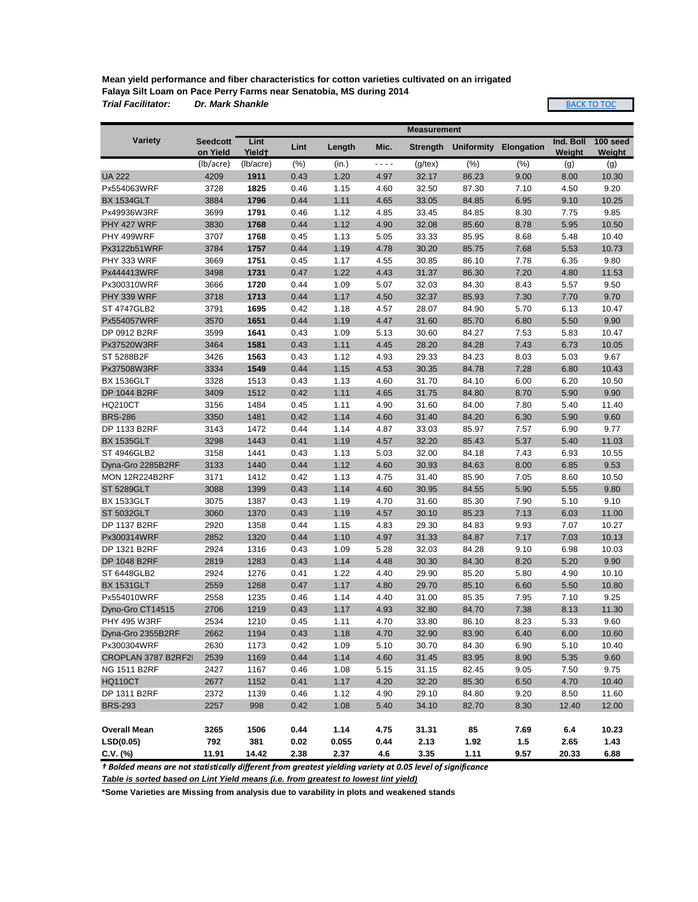**Mean yield performance and fiber characteristics for cotton varieties cultivated on an irrigated Falaya Silt Loam on Pace Perry Farms near Senatobia, MS during 2014** *Trial Facilitator: Dr. Mark Shankle*

BACK TO TOC

|                       | <b>Measurement</b>          |                            |      |        |                                                                                                                                                      |                 |                   |                   |                     |                    |
|-----------------------|-----------------------------|----------------------------|------|--------|------------------------------------------------------------------------------------------------------------------------------------------------------|-----------------|-------------------|-------------------|---------------------|--------------------|
| <b>Variety</b>        | <b>Seedcott</b><br>on Yield | Lint<br>Yield <sup>+</sup> | Lint | Length | Mic.                                                                                                                                                 | <b>Strength</b> | <b>Uniformity</b> | <b>Elongation</b> | Ind. Boll<br>Weight | 100 seed<br>Weight |
|                       | (lb/acre)                   | (lb/acre)                  | (% ) | (in.)  | $\frac{1}{2} \left( \frac{1}{2} \right) \left( \frac{1}{2} \right) \left( \frac{1}{2} \right) \left( \frac{1}{2} \right) \left( \frac{1}{2} \right)$ | $(g$ /tex $)$   | (% )              | (% )              | (g)                 | (g)                |
| <b>UA 222</b>         | 4209                        | 1911                       | 0.43 | 1.20   | 4.97                                                                                                                                                 | 32.17           | 86.23             | 9.00              | 8.00                | 10.30              |
| Px554063WRF           | 3728                        | 1825                       | 0.46 | 1.15   | 4.60                                                                                                                                                 | 32.50           | 87.30             | 7.10              | 4.50                | 9.20               |
| <b>BX 1534GLT</b>     | 3884                        | 1796                       | 0.44 | 1.11   | 4.65                                                                                                                                                 | 33.05           | 84.85             | 6.95              | 9.10                | 10.25              |
| Px49936W3RF           | 3699                        | 1791                       | 0.46 | 1.12   | 4.85                                                                                                                                                 | 33.45           | 84.85             | 8.30              | 7.75                | 9.85               |
| PHY 427 WRF           | 3830                        | 1768                       | 0.44 | 1.12   | 4.90                                                                                                                                                 | 32.08           | 85.60             | 8.78              | 5.95                | 10.50              |
| PHY 499WRF            | 3707                        | 1768                       | 0.45 | 1.13   | 5.05                                                                                                                                                 | 33.33           | 85.95             | 8.68              | 5.48                | 10.40              |
| Px3122b51WRF          | 3784                        | 1757                       | 0.44 | 1.19   | 4.78                                                                                                                                                 | 30.20           | 85.75             | 7.68              | 5.53                | 10.73              |
| PHY 333 WRF           | 3669                        | 1751                       | 0.45 | 1.17   | 4.55                                                                                                                                                 | 30.85           | 86.10             | 7.78              | 6.35                | 9.80               |
| Px444413WRF           | 3498                        | 1731                       | 0.47 | 1.22   | 4.43                                                                                                                                                 | 31.37           | 86.30             | 7.20              | 4.80                | 11.53              |
| Px300310WRF           | 3666                        | 1720                       | 0.44 | 1.09   | 5.07                                                                                                                                                 | 32.03           | 84.30             | 8.43              | 5.57                | 9.50               |
| PHY 339 WRF           | 3718                        | 1713                       | 0.44 | 1.17   | 4.50                                                                                                                                                 | 32.37           | 85.93             | 7.30              | 7.70                | 9.70               |
| <b>ST 4747GLB2</b>    | 3791                        | 1695                       | 0.42 | 1.18   | 4.57                                                                                                                                                 | 28.07           | 84.90             | 5.70              | 6.13                | 10.47              |
| Px554057WRF           | 3570                        | 1651                       | 0.44 | 1.19   | 4.47                                                                                                                                                 | 31.60           | 85.70             | 6.80              | 5.50                | 9.90               |
| DP 0912 B2RF          | 3599                        | 1641                       | 0.43 | 1.09   | 5.13                                                                                                                                                 | 30.60           | 84.27             | 7.53              | 5.83                | 10.47              |
| Px37520W3RF           | 3464                        | 1581                       | 0.43 | 1.11   | 4.45                                                                                                                                                 | 28.20           | 84.28             | 7.43              | 6.73                | 10.05              |
| ST 5288B2F            | 3426                        | 1563                       | 0.43 | 1.12   | 4.93                                                                                                                                                 | 29.33           | 84.23             | 8.03              | 5.03                | 9.67               |
| Px37508W3RF           | 3334                        | 1549                       | 0.44 | 1.15   | 4.53                                                                                                                                                 | 30.35           | 84.78             | 7.28              | 6.80                | 10.43              |
| <b>BX 1536GLT</b>     | 3328                        | 1513                       | 0.43 | 1.13   | 4.60                                                                                                                                                 | 31.70           | 84.10             | 6.00              | 6.20                | 10.50              |
| <b>DP 1044 B2RF</b>   | 3409                        | 1512                       | 0.42 | 1.11   | 4.65                                                                                                                                                 | 31.75           | 84.80             | 8.70              | 5.90                | 9.90               |
| <b>HQ210CT</b>        | 3156                        | 1484                       | 0.45 | 1.11   | 4.90                                                                                                                                                 | 31.60           | 84.00             | 7.80              | 5.40                | 11.40              |
| <b>BRS-286</b>        | 3350                        | 1481                       | 0.42 | 1.14   | 4.60                                                                                                                                                 | 31.40           | 84.20             | 6.30              | 5.90                | 9.60               |
| DP 1133 B2RF          | 3143                        | 1472                       | 0.44 | 1.14   | 4.87                                                                                                                                                 | 33.03           | 85.97             | 7.57              | 6.90                | 9.77               |
| <b>BX 1535GLT</b>     | 3298                        | 1443                       | 0.41 | 1.19   | 4.57                                                                                                                                                 | 32.20           | 85.43             | 5.37              | 5.40                | 11.03              |
| <b>ST 4946GLB2</b>    | 3158                        | 1441                       | 0.43 | 1.13   | 5.03                                                                                                                                                 | 32.00           | 84.18             | 7.43              | 6.93                | 10.55              |
| Dyna-Gro 2285B2RF     | 3133                        | 1440                       | 0.44 | 1.12   | 4.60                                                                                                                                                 | 30.93           | 84.63             | 8.00              | 6.85                | 9.53               |
| <b>MON 12R224B2RF</b> | 3171                        | 1412                       | 0.42 | 1.13   | 4.75                                                                                                                                                 | 31.40           | 85.90             | 7.05              | 8.60                | 10.50              |
| <b>ST 5289GLT</b>     | 3088                        | 1399                       | 0.43 | 1.14   | 4.60                                                                                                                                                 | 30.95           | 84.55             | 5.90              | 5.55                | 9.80               |
| <b>BX 1533GLT</b>     | 3075                        | 1387                       | 0.43 | 1.19   | 4.70                                                                                                                                                 | 31.60           | 85.30             | 7.90              | 5.10                | 9.10               |
| <b>ST 5032GLT</b>     | 3060                        | 1370                       | 0.43 | 1.19   | 4.57                                                                                                                                                 | 30.10           | 85.23             | 7.13              | 6.03                | 11.00              |
| DP 1137 B2RF          | 2920                        | 1358                       | 0.44 | 1.15   | 4.83                                                                                                                                                 | 29.30           | 84.83             | 9.93              | 7.07                | 10.27              |
| Px300314WRF           | 2852                        | 1320                       | 0.44 | 1.10   | 4.97                                                                                                                                                 | 31.33           | 84.87             | 7.17              | 7.03                | 10.13              |
| DP 1321 B2RF          | 2924                        | 1316                       | 0.43 | 1.09   | 5.28                                                                                                                                                 | 32.03           | 84.28             | 9.10              | 6.98                | 10.03              |
| DP 1048 B2RF          | 2819                        | 1283                       | 0.43 | 1.14   | 4.48                                                                                                                                                 | 30.30           | 84.30             | 8.20              | 5.20                | 9.90               |
| ST 6448GLB2           | 2924                        | 1276                       | 0.41 | 1.22   | 4.40                                                                                                                                                 | 29.90           | 85.20             | 5.80              | 4.90                | 10.10              |
| <b>BX 1531GLT</b>     | 2559                        | 1268                       | 0.47 | 1.17   | 4.80                                                                                                                                                 | 29.70           | 85.10             | 6.60              | 5.50                | 10.80              |
| Px554010WRF           | 2558                        | 1235                       | 0.46 | 1.14   | 4.40                                                                                                                                                 | 31.00           | 85.35             | 7.95              | 7.10                | 9.25               |
| Dyno-Gro CT14515      | 2706                        | 1219                       | 0.43 | 1.17   | 4.93                                                                                                                                                 | 32.80           | 84.70             | 7.38              | 8.13                | 11.30              |
| <b>PHY 495 W3RF</b>   | 2534                        | 1210                       | 0.45 | 1.11   | 4.70                                                                                                                                                 | 33.80           | 86.10             | 8.23              | 5.33                | 9.60               |
| Dyna-Gro 2355B2RF     | 2662                        | 1194                       | 0.43 | 1.18   | 4.70                                                                                                                                                 | 32.90           | 83.90             | 6.40              | 6.00                | 10.60              |
| Px300304WRF           | 2630                        | 1173                       | 0.42 | 1.09   | 5.10                                                                                                                                                 | 30.70           | 84.30             | 6.90              | 5.10                | 10.40              |
| CROPLAN 3787 B2RF2I   | 2539                        | 1169                       | 0.44 | 1.14   | 4.60                                                                                                                                                 | 31.45           | 83.95             | 8.90              | 5.35                | 9.60               |
| <b>NG 1511 B2RF</b>   | 2427                        | 1167                       | 0.46 | 1.08   | 5.15                                                                                                                                                 | 31.15           | 82.45             | 9.05              | 7.50                | 9.75               |
| <b>HQ110CT</b>        | 2677                        | 1152                       | 0.41 | 1.17   | 4.20                                                                                                                                                 | 32.20           | 85.30             | 6.50              | 4.70                | 10.40              |
| DP 1311 B2RF          | 2372                        | 1139                       | 0.46 | 1.12   | 4.90                                                                                                                                                 | 29.10           | 84.80             | 9.20              | 8.50                | 11.60              |
| <b>BRS-293</b>        | 2257                        | 998                        | 0.42 | 1.08   | 5.40                                                                                                                                                 | 34.10           | 82.70             | 8.30              | 12.40               | 12.00              |
|                       |                             |                            |      |        |                                                                                                                                                      |                 |                   |                   |                     |                    |
| <b>Overall Mean</b>   | 3265                        | 1506                       | 0.44 | 1.14   | 4.75                                                                                                                                                 | 31.31           | 85                | 7.69              | 6.4                 | 10.23              |
| LSD(0.05)             | 792                         | 381                        | 0.02 | 0.055  | 0.44                                                                                                                                                 | 2.13            | 1.92              | 1.5               | 2.65                | 1.43               |
| $C.V.$ (%)            | 11.91                       | 14.42                      | 2.38 | 2.37   | 4.6                                                                                                                                                  | 3.35            | 1.11              | 9.57              | 20.33               | 6.88               |

*† Bolded means are not statistically different from greatest yielding variety at 0.05 level of significance*

*Table is sorted based on Lint Yield means (i.e. from greatest to lowest lint yield)*

**\*Some Varieties are Missing from analysis due to varability in plots and weakened stands**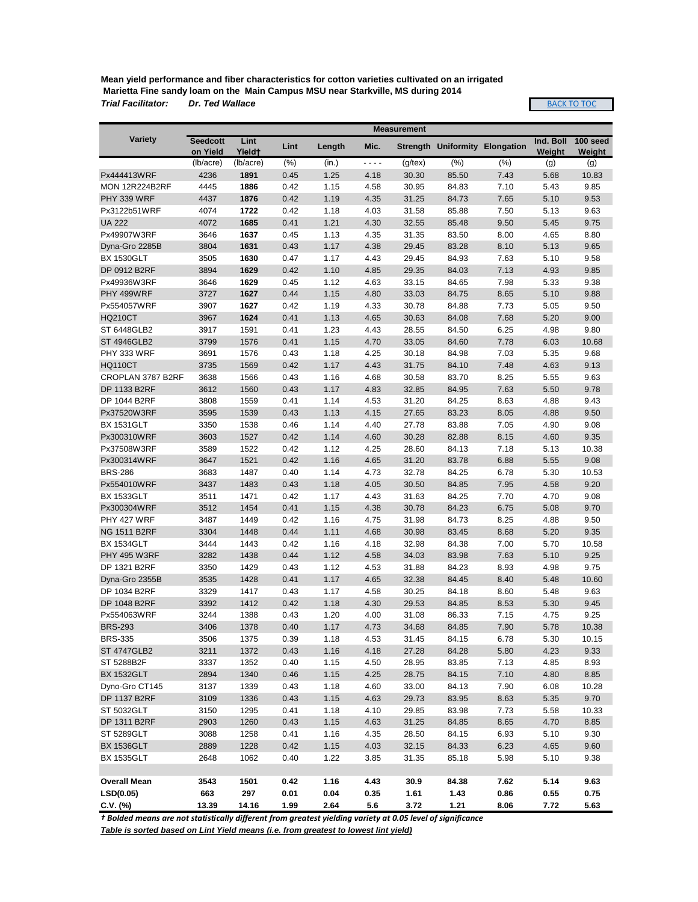**Mean yield performance and fiber characteristics for cotton varieties cultivated on an irrigated Marietta Fine sandy loam on the Main Campus MSU near Starkville, MS during 2014** *Trial Facilitator: Dr. Ted Wallace*

**BACK TO TOC** 

|                       |                       |                            |      |        |      | <b>Measurement</b> |                                       |      |                     |               |
|-----------------------|-----------------------|----------------------------|------|--------|------|--------------------|---------------------------------------|------|---------------------|---------------|
| <b>Variety</b>        | <b>Seedcott</b>       | Lint<br>Yield <sup>+</sup> | Lint | Length | Mic. |                    | <b>Strength Uniformity Elongation</b> |      | Ind. Boll<br>Weight | 100 seed      |
|                       | on Yield<br>(lb/acre) | (lb/acre)                  | (% ) | (in.)  | ---- | $(g$ /tex $)$      | (% )                                  | (% ) | (g)                 | Weight<br>(g) |
| Px444413WRF           | 4236                  | 1891                       | 0.45 | 1.25   | 4.18 | 30.30              | 85.50                                 | 7.43 | 5.68                | 10.83         |
| <b>MON 12R224B2RF</b> | 4445                  | 1886                       | 0.42 | 1.15   | 4.58 | 30.95              | 84.83                                 | 7.10 | 5.43                | 9.85          |
| PHY 339 WRF           | 4437                  | 1876                       | 0.42 | 1.19   | 4.35 | 31.25              | 84.73                                 | 7.65 | 5.10                | 9.53          |
| Px3122b51WRF          | 4074                  | 1722                       | 0.42 | 1.18   | 4.03 | 31.58              | 85.88                                 | 7.50 | 5.13                | 9.63          |
| <b>UA 222</b>         | 4072                  | 1685                       | 0.41 | 1.21   | 4.30 | 32.55              | 85.48                                 | 9.50 | 5.45                | 9.75          |
| Px49907W3RF           | 3646                  | 1637                       | 0.45 | 1.13   | 4.35 | 31.35              | 83.50                                 | 8.00 | 4.65                | 8.80          |
| Dyna-Gro 2285B        | 3804                  | 1631                       | 0.43 | 1.17   | 4.38 | 29.45              | 83.28                                 | 8.10 | 5.13                | 9.65          |
| <b>BX 1530GLT</b>     | 3505                  | 1630                       | 0.47 | 1.17   | 4.43 | 29.45              | 84.93                                 | 7.63 | 5.10                | 9.58          |
| DP 0912 B2RF          | 3894                  | 1629                       | 0.42 | 1.10   | 4.85 | 29.35              | 84.03                                 | 7.13 | 4.93                | 9.85          |
| Px49936W3RF           | 3646                  | 1629                       | 0.45 | 1.12   | 4.63 | 33.15              | 84.65                                 | 7.98 | 5.33                | 9.38          |
| PHY 499WRF            | 3727                  | 1627                       | 0.44 | 1.15   | 4.80 | 33.03              | 84.75                                 | 8.65 | 5.10                | 9.88          |
| Px554057WRF           | 3907                  | 1627                       | 0.42 | 1.19   | 4.33 | 30.78              | 84.88                                 | 7.73 | 5.05                | 9.50          |
| <b>HQ210CT</b>        | 3967                  | 1624                       | 0.41 | 1.13   | 4.65 | 30.63              | 84.08                                 | 7.68 | 5.20                | 9.00          |
| ST 6448GLB2           | 3917                  | 1591                       | 0.41 | 1.23   | 4.43 | 28.55              | 84.50                                 | 6.25 | 4.98                | 9.80          |
| <b>ST 4946GLB2</b>    | 3799                  | 1576                       | 0.41 | 1.15   | 4.70 | 33.05              | 84.60                                 | 7.78 | 6.03                | 10.68         |
| PHY 333 WRF           | 3691                  | 1576                       | 0.43 | 1.18   | 4.25 | 30.18              | 84.98                                 | 7.03 | 5.35                | 9.68          |
| <b>HQ110CT</b>        | 3735                  | 1569                       | 0.42 | 1.17   | 4.43 | 31.75              | 84.10                                 | 7.48 | 4.63                | 9.13          |
| CROPLAN 3787 B2RF     | 3638                  | 1566                       | 0.43 | 1.16   | 4.68 | 30.58              | 83.70                                 | 8.25 | 5.55                | 9.63          |
| DP 1133 B2RF          | 3612                  | 1560                       | 0.43 | 1.17   | 4.83 | 32.85              | 84.95                                 | 7.63 | 5.50                | 9.78          |
| DP 1044 B2RF          | 3808                  | 1559                       | 0.41 | 1.14   | 4.53 | 31.20              | 84.25                                 | 8.63 | 4.88                | 9.43          |
| Px37520W3RF           | 3595                  | 1539                       | 0.43 | 1.13   | 4.15 | 27.65              | 83.23                                 | 8.05 | 4.88                | 9.50          |
| <b>BX 1531GLT</b>     | 3350                  | 1538                       | 0.46 | 1.14   | 4.40 | 27.78              | 83.88                                 | 7.05 | 4.90                | 9.08          |
| Px300310WRF           | 3603                  | 1527                       | 0.42 | 1.14   | 4.60 | 30.28              | 82.88                                 | 8.15 | 4.60                | 9.35          |
| Px37508W3RF           | 3589                  | 1522                       | 0.42 | 1.12   | 4.25 | 28.60              | 84.13                                 | 7.18 | 5.13                | 10.38         |
| Px300314WRF           | 3647                  | 1521                       | 0.42 | 1.16   | 4.65 | 31.20              | 83.78                                 | 6.88 | 5.55                | 9.08          |
| <b>BRS-286</b>        | 3683                  | 1487                       | 0.40 | 1.14   | 4.73 | 32.78              | 84.25                                 | 6.78 | 5.30                | 10.53         |
| Px554010WRF           | 3437                  | 1483                       | 0.43 | 1.18   | 4.05 | 30.50              | 84.85                                 | 7.95 | 4.58                | 9.20          |
| <b>BX 1533GLT</b>     | 3511                  | 1471                       | 0.42 | 1.17   | 4.43 | 31.63              | 84.25                                 | 7.70 | 4.70                | 9.08          |
| Px300304WRF           | 3512                  | 1454                       | 0.41 | 1.15   | 4.38 | 30.78              | 84.23                                 | 6.75 | 5.08                | 9.70          |
| PHY 427 WRF           | 3487                  | 1449                       | 0.42 | 1.16   | 4.75 | 31.98              | 84.73                                 | 8.25 | 4.88                | 9.50          |
| <b>NG 1511 B2RF</b>   | 3304                  | 1448                       | 0.44 | 1.11   | 4.68 | 30.98              | 83.45                                 | 8.68 | 5.20                | 9.35          |
| <b>BX 1534GLT</b>     | 3444                  | 1443                       | 0.42 | 1.16   | 4.18 | 32.98              | 84.38                                 | 7.00 | 5.70                | 10.58         |
| <b>PHY 495 W3RF</b>   | 3282                  | 1438                       | 0.44 | 1.12   | 4.58 | 34.03              | 83.98                                 | 7.63 | 5.10                | 9.25          |
| DP 1321 B2RF          | 3350                  | 1429                       | 0.43 | 1.12   | 4.53 | 31.88              | 84.23                                 | 8.93 | 4.98                | 9.75          |
| Dyna-Gro 2355B        | 3535                  | 1428                       | 0.41 | 1.17   | 4.65 | 32.38              | 84.45                                 | 8.40 | 5.48                | 10.60         |
| DP 1034 B2RF          | 3329                  | 1417                       | 0.43 | 1.17   | 4.58 | 30.25              | 84.18                                 | 8.60 | 5.48                | 9.63          |
| DP 1048 B2RF          | 3392                  | 1412                       | 0.42 | 1.18   | 4.30 | 29.53              | 84.85                                 | 8.53 | 5.30                | 9.45          |
| Px554063WRF           | 3244                  | 1388                       | 0.43 | 1.20   | 4.00 | 31.08              | 86.33                                 | 7.15 | 4.75                | 9.25          |
| <b>BRS-293</b>        | 3406                  | 1378                       | 0.40 | 1.17   | 4.73 | 34.68              | 84.85                                 | 7.90 | 5.78                | 10.38         |
| <b>BRS-335</b>        | 3506                  | 1375                       | 0.39 | 1.18   | 4.53 | 31.45              | 84.15                                 | 6.78 | 5.30                | 10.15         |
| <b>ST 4747GLB2</b>    | 3211                  | 1372                       | 0.43 | 1.16   | 4.18 | 27.28              | 84.28                                 | 5.80 | 4.23                | 9.33          |
| ST 5288B2F            | 3337                  | 1352                       | 0.40 | 1.15   | 4.50 | 28.95              | 83.85                                 | 7.13 | 4.85                | 8.93          |
| <b>BX 1532GLT</b>     | 2894                  | 1340                       | 0.46 | 1.15   | 4.25 | 28.75              | 84.15                                 | 7.10 | 4.80                | 8.85          |
| Dyno-Gro CT145        | 3137                  | 1339                       | 0.43 | 1.18   | 4.60 | 33.00              | 84.13                                 | 7.90 | 6.08                | 10.28         |
| <b>DP 1137 B2RF</b>   | 3109                  | 1336                       | 0.43 | 1.15   | 4.63 | 29.73              | 83.95                                 | 8.63 | 5.35                | 9.70          |
| ST 5032GLT            | 3150                  | 1295                       | 0.41 | 1.18   | 4.10 | 29.85              | 83.98                                 | 7.73 | 5.58                | 10.33         |
| DP 1311 B2RF          | 2903                  | 1260                       | 0.43 | 1.15   | 4.63 | 31.25              | 84.85                                 | 8.65 | 4.70                | 8.85          |
| ST 5289GLT            | 3088                  | 1258                       | 0.41 | 1.16   | 4.35 | 28.50              | 84.15                                 | 6.93 | 5.10                | 9.30          |
| <b>BX 1536GLT</b>     | 2889                  | 1228                       | 0.42 | 1.15   | 4.03 | 32.15              | 84.33                                 | 6.23 | 4.65                | 9.60          |
| <b>BX 1535GLT</b>     | 2648                  | 1062                       | 0.40 | 1.22   | 3.85 | 31.35              | 85.18                                 | 5.98 | 5.10                | 9.38          |
|                       |                       |                            |      |        |      |                    |                                       |      |                     |               |
| <b>Overall Mean</b>   | 3543                  | 1501                       | 0.42 | 1.16   | 4.43 | 30.9               | 84.38                                 | 7.62 | 5.14                | 9.63          |
| LSD(0.05)             | 663                   | 297                        | 0.01 | 0.04   | 0.35 | 1.61               | 1.43                                  | 0.86 | 0.55                | 0.75          |
| $C.V.$ (%)            | 13.39                 | 14.16                      | 1.99 | 2.64   | 5.6  | 3.72               | 1.21                                  | 8.06 | 7.72                | 5.63          |

*† Bolded means are not statistically different from greatest yielding variety at 0.05 level of significance*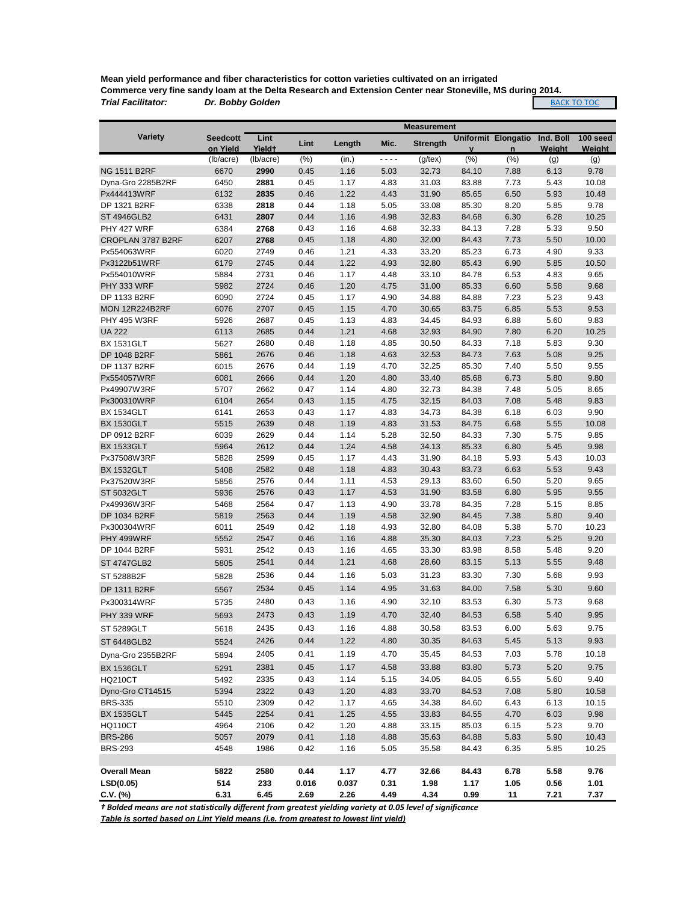**Mean yield performance and fiber characteristics for cotton varieties cultivated on an irrigated Commerce very fine sandy loam at the Delta Research and Extension Center near Stoneville, MS during 2014.** *Trial Facilitator: Dr. Bobby Golden* **BACK TO TOC** 

|                                     |                 |                    |       |        |      | <b>Measurement</b> |       |                            |           |          |
|-------------------------------------|-----------------|--------------------|-------|--------|------|--------------------|-------|----------------------------|-----------|----------|
| <b>Variety</b>                      | <b>Seedcott</b> | Lint               | Lint  | Length | Mic. | <b>Strength</b>    |       | <b>Uniformit Elongatio</b> | Ind. Boll | 100 seed |
|                                     | on Yield        | Yield <sup>+</sup> |       |        |      |                    |       | $\mathsf{n}$               | Weight    | Weight   |
|                                     | (lb/acre)       | (lb/acre)          | (% )  | (in.)  | ---- | $(g$ /tex $)$      | (%)   | (%)                        | (g)       | (g)      |
| <b>NG 1511 B2RF</b>                 | 6670            | 2990               | 0.45  | 1.16   | 5.03 | 32.73              | 84.10 | 7.88                       | 6.13      | 9.78     |
| Dyna-Gro 2285B2RF                   | 6450            | 2881               | 0.45  | 1.17   | 4.83 | 31.03              | 83.88 | 7.73                       | 5.43      | 10.08    |
| Px444413WRF                         | 6132            | 2835               | 0.46  | 1.22   | 4.43 | 31.90              | 85.65 | 6.50                       | 5.93      | 10.48    |
| DP 1321 B2RF                        | 6338            | 2818               | 0.44  | 1.18   | 5.05 | 33.08              | 85.30 | 8.20                       | 5.85      | 9.78     |
| <b>ST 4946GLB2</b>                  | 6431            | 2807               | 0.44  | 1.16   | 4.98 | 32.83              | 84.68 | 6.30                       | 6.28      | 10.25    |
| PHY 427 WRF                         | 6384            | 2768               | 0.43  | 1.16   | 4.68 | 32.33              | 84.13 | 7.28                       | 5.33      | 9.50     |
| CROPLAN 3787 B2RF                   | 6207            | 2768               | 0.45  | 1.18   | 4.80 | 32.00              | 84.43 | 7.73                       | 5.50      | 10.00    |
| Px554063WRF                         | 6020            | 2749               | 0.46  | 1.21   | 4.33 | 33.20              | 85.23 | 6.73                       | 4.90      | 9.33     |
| Px3122b51WRF                        | 6179            | 2745               | 0.44  | 1.22   | 4.93 | 32.80              | 85.43 | 6.90                       | 5.85      | 10.50    |
| Px554010WRF                         | 5884            | 2731               | 0.46  | 1.17   | 4.48 | 33.10              | 84.78 | 6.53                       | 4.83      | 9.65     |
| PHY 333 WRF                         | 5982            | 2724               | 0.46  | 1.20   | 4.75 | 31.00              | 85.33 | 6.60                       | 5.58      | 9.68     |
| DP 1133 B2RF                        | 6090            | 2724               | 0.45  | 1.17   | 4.90 | 34.88              | 84.88 | 7.23                       | 5.23      | 9.43     |
| <b>MON 12R224B2RF</b>               | 6076            | 2707               | 0.45  | 1.15   | 4.70 | 30.65              | 83.75 | 6.85                       | 5.53      | 9.53     |
| <b>PHY 495 W3RF</b>                 | 5926            | 2687               | 0.45  | 1.13   | 4.83 | 34.45              | 84.93 | 6.88                       | 5.60      | 9.83     |
| <b>UA 222</b>                       | 6113            | 2685               | 0.44  | 1.21   | 4.68 | 32.93              | 84.90 | 7.80                       | 6.20      | 10.25    |
| <b>BX 1531GLT</b>                   | 5627            | 2680               | 0.48  | 1.18   | 4.85 | 30.50              | 84.33 | 7.18                       | 5.83      | 9.30     |
| DP 1048 B2RF                        | 5861            | 2676               | 0.46  | 1.18   | 4.63 | 32.53              | 84.73 | 7.63                       | 5.08      | 9.25     |
| DP 1137 B2RF                        | 6015            | 2676               | 0.44  | 1.19   | 4.70 | 32.25              | 85.30 | 7.40                       | 5.50      | 9.55     |
| Px554057WRF                         | 6081            | 2666               | 0.44  | 1.20   | 4.80 | 33.40              | 85.68 | 6.73                       | 5.80      | 9.80     |
| Px49907W3RF                         | 5707            | 2662               | 0.47  | 1.14   | 4.80 | 32.73              | 84.38 | 7.48                       | 5.05      | 8.65     |
| Px300310WRF                         | 6104            | 2654               | 0.43  | 1.15   | 4.75 | 32.15              | 84.03 | 7.08                       | 5.48      | 9.83     |
| <b>BX 1534GLT</b>                   | 6141            | 2653               | 0.43  | 1.17   | 4.83 | 34.73              | 84.38 | 6.18                       | 6.03      | 9.90     |
| <b>BX 1530GLT</b>                   | 5515            | 2639               | 0.48  | 1.19   | 4.83 | 31.53              | 84.75 | 6.68                       | 5.55      | 10.08    |
| DP 0912 B2RF                        | 6039            | 2629               | 0.44  | 1.14   | 5.28 | 32.50              | 84.33 | 7.30                       | 5.75      | 9.85     |
| <b>BX 1533GLT</b>                   | 5964            | 2612               | 0.44  | 1.24   | 4.58 | 34.13              | 85.33 | 6.80                       | 5.45      | 9.98     |
| Px37508W3RF                         | 5828            | 2599               | 0.45  | 1.17   | 4.43 | 31.90              | 84.18 | 5.93                       | 5.43      | 10.03    |
| <b>BX 1532GLT</b>                   | 5408            | 2582               | 0.48  | 1.18   | 4.83 | 30.43              | 83.73 | 6.63                       | 5.53      | 9.43     |
| Px37520W3RF                         | 5856            | 2576               | 0.44  | 1.11   | 4.53 | 29.13              | 83.60 | 6.50                       | 5.20      | 9.65     |
| <b>ST 5032GLT</b>                   | 5936            | 2576               | 0.43  | 1.17   | 4.53 | 31.90              | 83.58 | 6.80                       | 5.95      | 9.55     |
| Px49936W3RF                         | 5468            | 2564               | 0.47  | 1.13   | 4.90 | 33.78              | 84.35 | 7.28                       | 5.15      | 8.85     |
| DP 1034 B2RF                        | 5819            | 2563               | 0.44  | 1.19   | 4.58 | 32.90              | 84.45 | 7.38                       | 5.80      | 9.40     |
| Px300304WRF                         | 6011            | 2549               | 0.42  | 1.18   | 4.93 | 32.80              | 84.08 | 5.38                       | 5.70      | 10.23    |
| PHY 499WRF                          | 5552            | 2547               | 0.46  | 1.16   | 4.88 | 35.30              | 84.03 | 7.23                       | 5.25      | 9.20     |
| DP 1044 B2RF                        | 5931            | 2542               | 0.43  | 1.16   | 4.65 | 33.30              | 83.98 | 8.58                       | 5.48      | 9.20     |
| <b>ST 4747GLB2</b>                  | 5805            | 2541               | 0.44  | 1.21   | 4.68 | 28.60              | 83.15 | 5.13                       | 5.55      | 9.48     |
| ST 5288B2F                          | 5828            | 2536               | 0.44  | 1.16   | 5.03 | 31.23              | 83.30 | 7.30                       | 5.68      | 9.93     |
|                                     |                 | 2534               | 0.45  | 1.14   | 4.95 | 31.63              | 84.00 | 7.58                       | 5.30      | 9.60     |
| DP 1311 B2RF                        | 5567            |                    |       |        |      |                    |       |                            |           |          |
| Px300314WRF                         | 5735            | 2480               | 0.43  | 1.16   | 4.90 | 32.10              | 83.53 | 6.30                       | 5.73      | 9.68     |
| PHY 339 WRF                         | 5693            | 2473               | 0.43  | 1.19   | 4.70 | 32.40              | 84.53 | 6.58                       | 5.40      | 9.95     |
| ST 5289GLT                          | 5618            | 2435               | 0.43  | 1.16   | 4.88 | 30.58              | 83.53 | 6.00                       | 5.63      | 9.75     |
| ST 6448GLB2                         | 5524            | 2426               | 0.44  | 1.22   | 4.80 | 30.35              | 84.63 | 5.45                       | 5.13      | 9.93     |
| Dyna-Gro 2355B2RF                   | 5894            | 2405               | 0.41  | 1.19   | 4.70 | 35.45              | 84.53 | 7.03                       | 5.78      | 10.18    |
|                                     | 5291            | 2381               | 0.45  | 1.17   | 4.58 | 33.88              | 83.80 | 5.73                       | 5.20      | 9.75     |
| <b>BX 1536GLT</b><br><b>HQ210CT</b> |                 | 2335               | 0.43  |        |      |                    |       | 6.55                       | 5.60      | 9.40     |
|                                     | 5492            |                    |       | 1.14   | 5.15 | 34.05              | 84.05 |                            |           |          |
| Dyno-Gro CT14515                    | 5394            | 2322               | 0.43  | 1.20   | 4.83 | 33.70              | 84.53 | 7.08                       | 5.80      | 10.58    |
| <b>BRS-335</b>                      | 5510            | 2309               | 0.42  | 1.17   | 4.65 | 34.38              | 84.60 | 6.43                       | 6.13      | 10.15    |
| <b>BX 1535GLT</b>                   | 5445            | 2254               | 0.41  | 1.25   | 4.55 | 33.83              | 84.55 | 4.70                       | 6.03      | 9.98     |
| <b>HQ110CT</b>                      | 4964            | 2106               | 0.42  | 1.20   | 4.88 | 33.15              | 85.03 | 6.15                       | 5.23      | 9.70     |
| <b>BRS-286</b>                      | 5057            | 2079               | 0.41  | 1.18   | 4.88 | 35.63              | 84.88 | 5.83                       | 5.90      | 10.43    |
| <b>BRS-293</b>                      | 4548            | 1986               | 0.42  | 1.16   | 5.05 | 35.58              | 84.43 | 6.35                       | 5.85      | 10.25    |
|                                     |                 |                    |       |        |      |                    |       |                            |           |          |
| <b>Overall Mean</b>                 | 5822            | 2580               | 0.44  | 1.17   | 4.77 | 32.66              | 84.43 | 6.78                       | 5.58      | 9.76     |
| LSD(0.05)                           | 514             | 233                | 0.016 | 0.037  | 0.31 | 1.98               | 1.17  | 1.05                       | 0.56      | 1.01     |
| $C.V.$ (%)                          | 6.31            | 6.45               | 2.69  | 2.26   | 4.49 | 4.34               | 0.99  | 11                         | 7.21      | 7.37     |

*† Bolded means are not statistically different from greatest yielding variety at 0.05 level of significance Table is sorted based on Lint Yield means (i.e. from greatest to lowest lint yield)*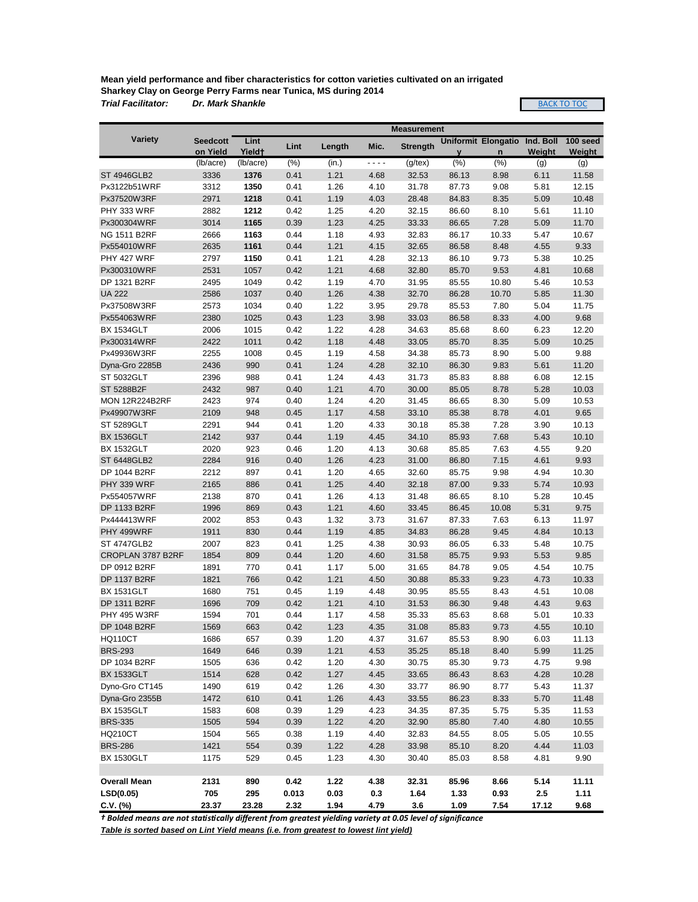**Mean yield performance and fiber characteristics for cotton varieties cultivated on an irrigated Sharkey Clay on George Perry Farms near Tunica, MS during 2014** *Trial Facilitator: Dr. Mark Shankle*

**BACK TO TOC** 

|                                     |                       |                                 |              |              |              | <b>Measurement</b> |                      |                     |               |                      |
|-------------------------------------|-----------------------|---------------------------------|--------------|--------------|--------------|--------------------|----------------------|---------------------|---------------|----------------------|
| <b>Variety</b>                      | <b>Seedcott</b>       | Lint                            | Lint         | Length       | Mic.         | <b>Strength</b>    |                      | Uniformit Elongatio | Ind. Boll     | 100 seed             |
|                                     | on Yield<br>(lb/acre) | Yield <sup>+</sup><br>(lb/acre) | (% )         | (in.)        | - - - -      | $(g$ /tex $)$      | $\mathbf{V}$<br>(% ) | n<br>(% )           | Weight<br>(g) | <b>Weight</b><br>(g) |
| <b>ST 4946GLB2</b>                  | 3336                  | 1376                            | 0.41         | 1.21         | 4.68         | 32.53              | 86.13                | 8.98                | 6.11          | 11.58                |
| Px3122b51WRF                        | 3312                  | 1350                            | 0.41         | 1.26         | 4.10         | 31.78              | 87.73                | 9.08                | 5.81          | 12.15                |
| Px37520W3RF                         | 2971                  | 1218                            | 0.41         | 1.19         | 4.03         | 28.48              | 84.83                | 8.35                | 5.09          | 10.48                |
| PHY 333 WRF                         | 2882                  | 1212                            | 0.42         | 1.25         | 4.20         | 32.15              | 86.60                | 8.10                | 5.61          | 11.10                |
| Px300304WRF                         | 3014                  | 1165                            | 0.39         | 1.23         | 4.25         | 33.33              | 86.65                | 7.28                | 5.09          | 11.70                |
| <b>NG 1511 B2RF</b>                 | 2666                  | 1163                            | 0.44         | 1.18         | 4.93         | 32.83              | 86.17                | 10.33               | 5.47          | 10.67                |
| Px554010WRF                         | 2635                  | 1161                            | 0.44         | 1.21         | 4.15         | 32.65              | 86.58                | 8.48                | 4.55          | 9.33                 |
| PHY 427 WRF                         | 2797                  | 1150                            | 0.41         | 1.21         | 4.28         | 32.13              | 86.10                | 9.73                | 5.38          | 10.25                |
| Px300310WRF                         | 2531                  | 1057                            | 0.42         | 1.21         | 4.68         | 32.80              | 85.70                | 9.53                | 4.81          | 10.68                |
| DP 1321 B2RF                        | 2495                  | 1049                            | 0.42         | 1.19         | 4.70         | 31.95              | 85.55                | 10.80               | 5.46          | 10.53                |
| <b>UA 222</b>                       | 2586                  | 1037                            | 0.40         | 1.26         | 4.38         | 32.70              | 86.28                | 10.70               | 5.85          | 11.30                |
| Px37508W3RF                         | 2573                  | 1034                            | 0.40         | 1.22         | 3.95         | 29.78              | 85.53                | 7.80                | 5.04          | 11.75                |
| Px554063WRF                         | 2380                  | 1025                            | 0.43         | 1.23         | 3.98         | 33.03              | 86.58                | 8.33                | 4.00          | 9.68                 |
| <b>BX 1534GLT</b>                   | 2006                  | 1015                            | 0.42         | 1.22         | 4.28         | 34.63              | 85.68                | 8.60                | 6.23          | 12.20                |
| Px300314WRF                         | 2422                  | 1011                            | 0.42         | 1.18         | 4.48         | 33.05              | 85.70                | 8.35                | 5.09          | 10.25                |
| Px49936W3RF                         | 2255                  | 1008                            | 0.45         | 1.19         | 4.58         | 34.38              | 85.73                | 8.90                | 5.00          | 9.88                 |
| Dyna-Gro 2285B                      | 2436                  | 990                             | 0.41         | 1.24         | 4.28         | 32.10              | 86.30                | 9.83                | 5.61          | 11.20                |
| <b>ST 5032GLT</b>                   | 2396                  | 988                             | 0.41         | 1.24         | 4.43         | 31.73              | 85.83                | 8.88                | 6.08          | 12.15                |
| ST 5288B2F                          |                       | 987                             | 0.40         | 1.21         | 4.70         | 30.00              |                      |                     | 5.28          |                      |
| <b>MON 12R224B2RF</b>               | 2432<br>2423          | 974                             | 0.40         | 1.24         | 4.20         | 31.45              | 85.05<br>86.65       | 8.78<br>8.30        | 5.09          | 10.03<br>10.53       |
|                                     |                       | 948                             |              |              |              |                    |                      |                     |               |                      |
| Px49907W3RF                         | 2109                  |                                 | 0.45         | 1.17         | 4.58         | 33.10              | 85.38                | 8.78                | 4.01          | 9.65                 |
| <b>ST 5289GLT</b>                   | 2291                  | 944                             | 0.41         | 1.20         | 4.33         | 30.18              | 85.38                | 7.28                | 3.90          | 10.13                |
| <b>BX 1536GLT</b>                   | 2142                  | 937                             | 0.44         | 1.19         | 4.45         | 34.10              | 85.93                | 7.68                | 5.43          | 10.10                |
| <b>BX 1532GLT</b>                   | 2020                  | 923                             | 0.46         | 1.20         | 4.13         | 30.68              | 85.85                | 7.63                | 4.55          | 9.20                 |
| ST 6448GLB2                         | 2284                  | 916                             | 0.40         | 1.26         | 4.23         | 31.00              | 86.80                | 7.15                | 4.61          | 9.93                 |
| DP 1044 B2RF                        | 2212                  | 897                             | 0.41         | 1.20         | 4.65         | 32.60              | 85.75                | 9.98                | 4.94          | 10.30                |
| PHY 339 WRF                         | 2165                  | 886                             | 0.41         | 1.25         | 4.40         | 32.18              | 87.00                | 9.33                | 5.74          | 10.93                |
| Px554057WRF                         | 2138                  | 870                             | 0.41         | 1.26         | 4.13         | 31.48              | 86.65                | 8.10                | 5.28          | 10.45                |
| DP 1133 B2RF                        | 1996                  | 869                             | 0.43         | 1.21         | 4.60         | 33.45              | 86.45                | 10.08               | 5.31          | 9.75                 |
| Px444413WRF                         | 2002                  | 853                             | 0.43         | 1.32         | 3.73         | 31.67              | 87.33                | 7.63                | 6.13          | 11.97                |
| PHY 499WRF<br><b>ST 4747GLB2</b>    | 1911<br>2007          | 830                             | 0.44         | 1.19         | 4.85         | 34.83              | 86.28                | 9.45                | 4.84          | 10.13                |
|                                     |                       | 823                             | 0.41         | 1.25         | 4.38         | 30.93              | 86.05                | 6.33                | 5.48          | 10.75                |
| CROPLAN 3787 B2RF<br>DP 0912 B2RF   | 1854                  | 809                             | 0.44         | 1.20         | 4.60         | 31.58              | 85.75                | 9.93                | 5.53          | 9.85                 |
|                                     | 1891                  | 770                             | 0.41         | 1.17         | 5.00         | 31.65              | 84.78                | 9.05                | 4.54          | 10.75                |
| <b>DP 1137 B2RF</b>                 | 1821                  | 766                             | 0.42         | 1.21         | 4.50         | 30.88              | 85.33                | 9.23                | 4.73          | 10.33                |
| <b>BX 1531GLT</b><br>DP 1311 B2RF   | 1680                  | 751<br>709                      | 0.45<br>0.42 | 1.19         | 4.48         | 30.95              | 85.55                | 8.43                | 4.51          | 10.08                |
| <b>PHY 495 W3RF</b>                 | 1696                  |                                 |              | 1.21         | 4.10         | 31.53              | 86.30                | 9.48                | 4.43          | 9.63                 |
| DP 1048 B2RF                        | 1594<br>1569          | 701<br>663                      | 0.44<br>0.42 | 1.17<br>1.23 | 4.58<br>4.35 | 35.33<br>31.08     | 85.63<br>85.83       | 8.68<br>9.73        | 5.01<br>4.55  | 10.33<br>10.10       |
| <b>HQ110CT</b>                      | 1686                  | 657                             | 0.39         | 1.20         | 4.37         | 31.67              | 85.53                | 8.90                | 6.03          | 11.13                |
| <b>BRS-293</b>                      | 1649                  | 646                             | 0.39         | 1.21         | 4.53         | 35.25              |                      | 8.40                | 5.99          | 11.25                |
| DP 1034 B2RF                        | 1505                  | 636                             | 0.42         | 1.20         | 4.30         | 30.75              | 85.18<br>85.30       | 9.73                | 4.75          | 9.98                 |
|                                     |                       |                                 |              |              |              |                    |                      |                     |               |                      |
| <b>BX 1533GLT</b>                   | 1514                  | 628                             | 0.42         | 1.27         | 4.45         | 33.65              | 86.43                | 8.63                | 4.28          | 10.28                |
| Dyno-Gro CT145<br>Dyna-Gro 2355B    | 1490<br>1472          | 619<br>610                      | 0.42<br>0.41 | 1.26<br>1.26 | 4.30<br>4.43 | 33.77              | 86.90<br>86.23       | 8.77<br>8.33        | 5.43<br>5.70  | 11.37<br>11.48       |
|                                     |                       |                                 |              |              |              | 33.55              |                      |                     |               |                      |
| <b>BX 1535GLT</b><br><b>BRS-335</b> | 1583                  | 608                             | 0.39         | 1.29         | 4.23         | 34.35              | 87.35                | 5.75                | 5.35          | 11.53                |
|                                     | 1505                  | 594                             | 0.39         | 1.22         | 4.20         | 32.90              | 85.80                | 7.40                | 4.80          | 10.55                |
| <b>HQ210CT</b>                      | 1504                  | 565                             | 0.38         | 1.19         | 4.40         | 32.83              | 84.55                | 8.05                | 5.05          | 10.55                |
| <b>BRS-286</b>                      | 1421                  | 554                             | 0.39         | 1.22         | 4.28         | 33.98              | 85.10                | 8.20                | 4.44          | 11.03                |
| <b>BX 1530GLT</b>                   | 1175                  | 529                             | 0.45         | 1.23         | 4.30         | 30.40              | 85.03                | 8.58                | 4.81          | 9.90                 |
|                                     | 2131                  | 890                             | 0.42         | 1.22         | 4.38         | 32.31              | 85.96                | 8.66                | 5.14          | 11.11                |
| <b>Overall Mean</b><br>LSD(0.05)    | 705                   | 295                             | 0.013        | 0.03         | 0.3          | 1.64               | 1.33                 | 0.93                | 2.5           | 1.11                 |
|                                     | 23.37                 | 23.28                           | 2.32         | 1.94         |              | 3.6                | 1.09                 | 7.54                |               | 9.68                 |
| $C.V.$ (%)                          |                       |                                 |              |              | 4.79         |                    |                      |                     | 17.12         |                      |

*† Bolded means are not statistically different from greatest yielding variety at 0.05 level of significance*